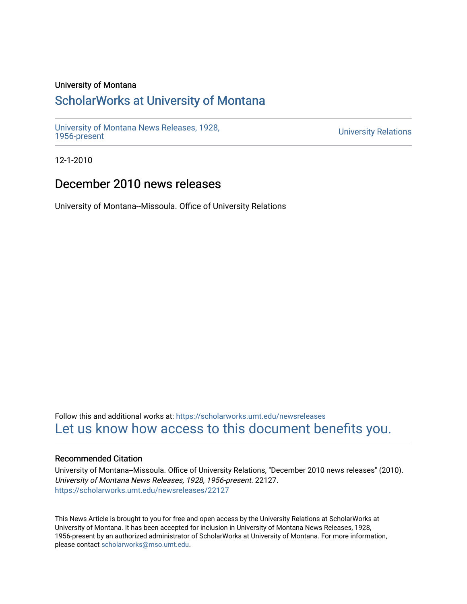## University of Montana

# [ScholarWorks at University of Montana](https://scholarworks.umt.edu/)

[University of Montana News Releases, 1928,](https://scholarworks.umt.edu/newsreleases) 

**University Relations** 

12-1-2010

# December 2010 news releases

University of Montana--Missoula. Office of University Relations

Follow this and additional works at: [https://scholarworks.umt.edu/newsreleases](https://scholarworks.umt.edu/newsreleases?utm_source=scholarworks.umt.edu%2Fnewsreleases%2F22127&utm_medium=PDF&utm_campaign=PDFCoverPages) [Let us know how access to this document benefits you.](https://goo.gl/forms/s2rGfXOLzz71qgsB2) 

## Recommended Citation

University of Montana--Missoula. Office of University Relations, "December 2010 news releases" (2010). University of Montana News Releases, 1928, 1956-present. 22127. [https://scholarworks.umt.edu/newsreleases/22127](https://scholarworks.umt.edu/newsreleases/22127?utm_source=scholarworks.umt.edu%2Fnewsreleases%2F22127&utm_medium=PDF&utm_campaign=PDFCoverPages) 

This News Article is brought to you for free and open access by the University Relations at ScholarWorks at University of Montana. It has been accepted for inclusion in University of Montana News Releases, 1928, 1956-present by an authorized administrator of ScholarWorks at University of Montana. For more information, please contact [scholarworks@mso.umt.edu.](mailto:scholarworks@mso.umt.edu)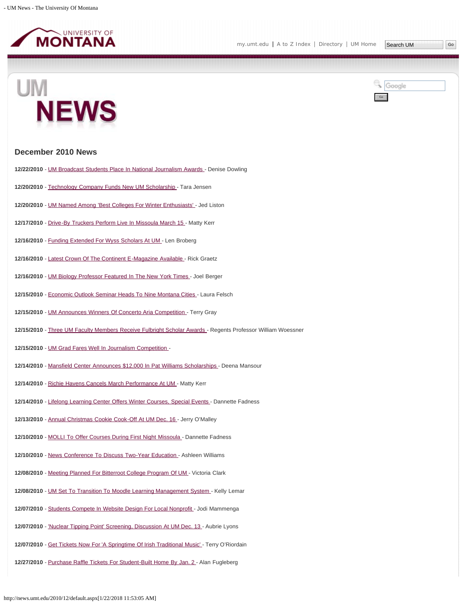



http://news.umt.edu/2010/12/default.aspx[1/22/2018 11:53:05 AM]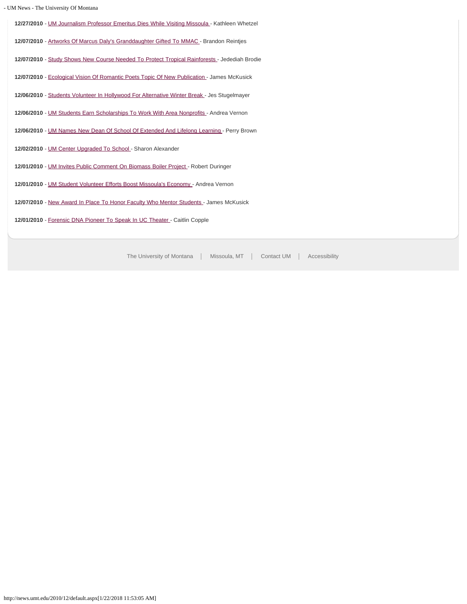|  |  | - UM News - The University Of Montana |
|--|--|---------------------------------------|
|  |  |                                       |

**12/27/2010** - [UM Journalism Professor Emeritus Dies While Visiting Missoula -](#page-32-0) Kathleen Whetzel

**12/07/2010** - [Artworks Of Marcus Daly's Granddaughter Gifted To MMAC](#page-33-0) - Brandon Reintjes

**12/07/2010** - [Study Shows New Course Needed To Protect Tropical Rainforests -](#page-35-0) Jedediah Brodie

12/07/2010 - [Ecological Vision Of Romantic Poets Topic Of New Publication -](#page-37-0) James McKusick

**12/06/2010** - [Students Volunteer In Hollywood For Alternative Winter Break](#page-38-0) - Jes Stugelmayer

**12/06/2010** - [UM Students Earn Scholarships To Work With Area Nonprofits -](#page-39-0) Andrea Vernon

**12/06/2010** - [UM Names New Dean Of School Of Extended And Lifelong Learning -](#page-40-0) Perry Brown

12/02/2010 - [UM Center Upgraded To School](#page-41-0) - Sharon Alexander

**12/01/2010** - [UM Invites Public Comment On Biomass Boiler Project](#page-42-0) - Robert Duringer

**12/01/2010** - [UM Student Volunteer Efforts Boost Missoula's Economy](#page-43-0) - Andrea Vernon

**12/07/2010** - [New Award In Place To Honor Faculty Who Mentor Students](#page-44-0) - James McKusick

**12/01/2010** - [Forensic DNA Pioneer To Speak In UC Theater](#page-45-0) - Caitlin Copple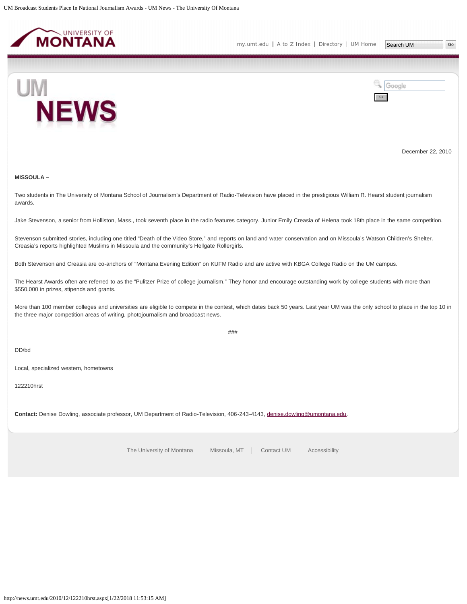<span id="page-3-0"></span>



December 22, 2010

## **MISSOULA –**

Two students in The University of Montana School of Journalism's Department of Radio-Television have placed in the prestigious William R. Hearst student journalism awards.

Jake Stevenson, a senior from Holliston, Mass., took seventh place in the radio features category. Junior Emily Creasia of Helena took 18th place in the same competition.

Stevenson submitted stories, including one titled "Death of the Video Store," and reports on land and water conservation and on Missoula's Watson Children's Shelter. Creasia's reports highlighted Muslims in Missoula and the community's Hellgate Rollergirls.

Both Stevenson and Creasia are co-anchors of "Montana Evening Edition" on KUFM Radio and are active with KBGA College Radio on the UM campus.

The Hearst Awards often are referred to as the "Pulitzer Prize of college journalism." They honor and encourage outstanding work by college students with more than \$550,000 in prizes, stipends and grants.

More than 100 member colleges and universities are eligible to compete in the contest, which dates back 50 years. Last year UM was the only school to place in the top 10 in the three major competition areas of writing, photojournalism and broadcast news.

###

DD/bd

Local, specialized western, hometowns

122210hrst

**Contact:** Denise Dowling, associate professor, UM Department of Radio-Television, 406-243-4143, [denise.dowling@umontana.edu](mailto:denise.dowling@umontana.edu).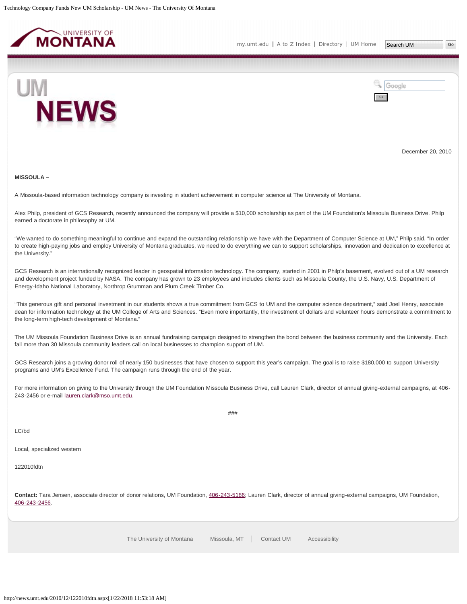<span id="page-4-0"></span>



December 20, 2010

#### **MISSOULA –**

A Missoula-based information technology company is investing in student achievement in computer science at The University of Montana.

Alex Philp, president of GCS Research, recently announced the company will provide a \$10,000 scholarship as part of the UM Foundation's Missoula Business Drive. Philp earned a doctorate in philosophy at UM.

"We wanted to do something meaningful to continue and expand the outstanding relationship we have with the Department of Computer Science at UM," Philp said. "In order to create high-paying jobs and employ University of Montana graduates, we need to do everything we can to support scholarships, innovation and dedication to excellence at the University."

GCS Research is an internationally recognized leader in geospatial information technology. The company, started in 2001 in Philp's basement, evolved out of a UM research and development project funded by NASA. The company has grown to 23 employees and includes clients such as Missoula County, the U.S. Navy, U.S. Department of Energy-Idaho National Laboratory, Northrop Grumman and Plum Creek Timber Co.

"This generous gift and personal investment in our students shows a true commitment from GCS to UM and the computer science department," said Joel Henry, associate dean for information technology at the UM College of Arts and Sciences. "Even more importantly, the investment of dollars and volunteer hours demonstrate a commitment to the long-term high-tech development of Montana."

The UM Missoula Foundation Business Drive is an annual fundraising campaign designed to strengthen the bond between the business community and the University. Each fall more than 30 Missoula community leaders call on local businesses to champion support of UM.

GCS Research joins a growing donor roll of nearly 150 businesses that have chosen to support this year's campaign. The goal is to raise \$180,000 to support University programs and UM's Excellence Fund. The campaign runs through the end of the year.

For more information on giving to the University through the UM Foundation Missoula Business Drive, call Lauren Clark, director of annual giving-external campaigns, at 406 243-2456 or e-mail [lauren.clark@mso.umt.edu.](mailto:lauren.clark@mso.umt.edu)

###

LC/bd

Local, specialized western

122010fdtn

**Contact:** Tara Jensen, associate director of donor relations, UM Foundation, [406-243-5186](mailto:406-243-5186); Lauren Clark, director of annual giving-external campaigns, UM Foundation, [406-243-2456](mailto:406-243-2456).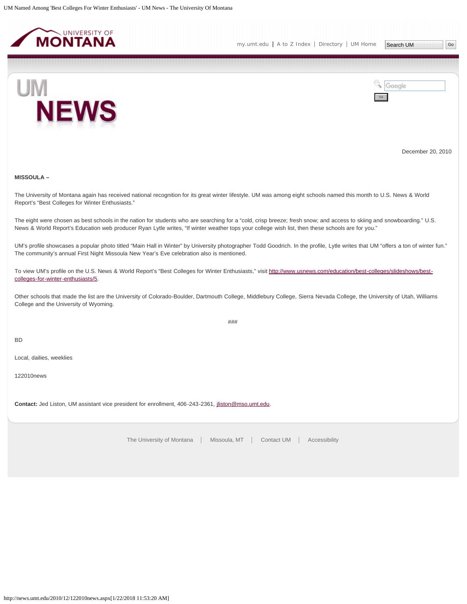<span id="page-5-0"></span>



December 20, 2010

## **MISSOULA –**

The University of Montana again has received national recognition for its great winter lifestyle. UM was among eight schools named this month to U.S. News & World Report's "Best Colleges for Winter Enthusiasts."

The eight were chosen as best schools in the nation for students who are searching for a "cold, crisp breeze; fresh snow; and access to skiing and snowboarding." U.S. News & World Report's Education web producer Ryan Lytle writes, "If winter weather tops your college wish list, then these schools are for you."

UM's profile showcases a popular photo titled "Main Hall in Winter" by University photographer Todd Goodrich. In the profile, Lytle writes that UM "offers a ton of winter fun." The community's annual First Night Missoula New Year's Eve celebration also is mentioned.

To view UM's profile on the U.S. News & World Report's "Best Colleges for Winter Enthusiasts," visit [http://www.usnews.com/education/best-colleges/slideshows/best](http://www.usnews.com/education/best-colleges/slideshows/best-colleges-for-winter-enthusiasts/5)[colleges-for-winter-enthusiasts/5](http://www.usnews.com/education/best-colleges/slideshows/best-colleges-for-winter-enthusiasts/5).

Other schools that made the list are the University of Colorado-Boulder, Dartmouth College, Middlebury College, Sierra Nevada College, the University of Utah, Williams College and the University of Wyoming.

###

BD

Local, dailies, weeklies

122010news

**Contact:** Jed Liston, UM assistant vice president for enrollment, 406-243-2361, [jliston@mso.umt.edu.](mailto:jliston@mso.umt.edu)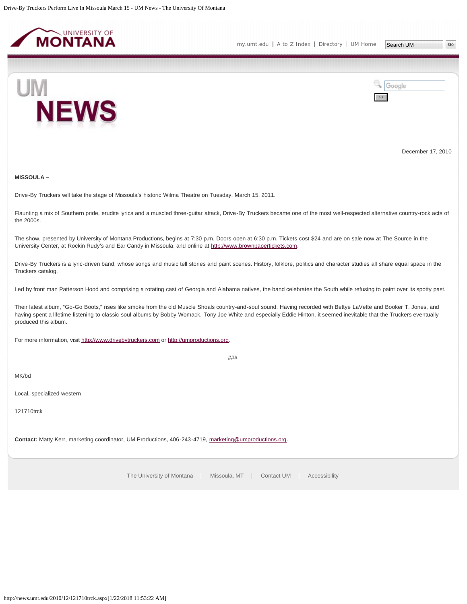<span id="page-6-0"></span>



December 17, 2010

## **MISSOULA –**

Drive-By Truckers will take the stage of Missoula's historic Wilma Theatre on Tuesday, March 15, 2011.

Flaunting a mix of Southern pride, erudite lyrics and a muscled three-guitar attack, Drive-By Truckers became one of the most well-respected alternative country-rock acts of the 2000s.

The show, presented by University of Montana Productions, begins at 7:30 p.m. Doors open at 6:30 p.m. Tickets cost \$24 and are on sale now at The Source in the University Center, at Rockin Rudy's and Ear Candy in Missoula, and online at [http://www.brownpapertickets.com.](http://www.brownpapertickets.com/)

Drive-By Truckers is a lyric-driven band, whose songs and music tell stories and paint scenes. History, folklore, politics and character studies all share equal space in the Truckers catalog.

Led by front man Patterson Hood and comprising a rotating cast of Georgia and Alabama natives, the band celebrates the South while refusing to paint over its spotty past.

Their latest album, "Go-Go Boots," rises like smoke from the old Muscle Shoals country-and-soul sound. Having recorded with Bettye LaVette and Booker T. Jones, and having spent a lifetime listening to classic soul albums by Bobby Womack, Tony Joe White and especially Eddie Hinton, it seemed inevitable that the Truckers eventually produced this album.

For more information, visit [http://www.drivebytruckers.com](http://www.drivebytruckers.com/) or [http://umproductions.org](http://umproductions.org/).

###

## MK/bd

Local, specialized western

121710trck

**Contact:** Matty Kerr, marketing coordinator, UM Productions, 406-243-4719, [marketing@umproductions.org](mailto:marketing@umproductions.org).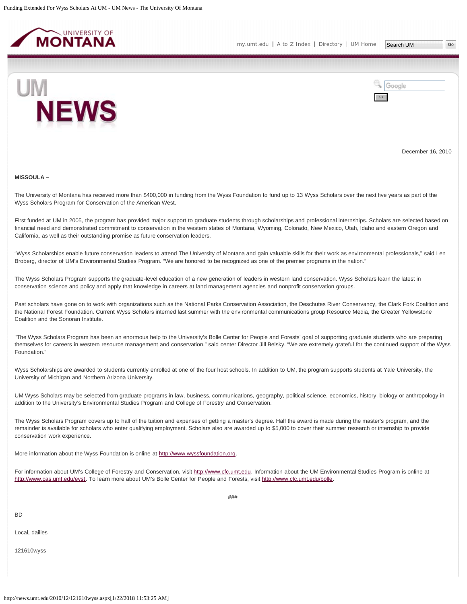<span id="page-7-0"></span>

Go

Google



December 16, 2010

#### **MISSOULA –**

The University of Montana has received more than \$400,000 in funding from the Wyss Foundation to fund up to 13 Wyss Scholars over the next five years as part of the Wyss Scholars Program for Conservation of the American West.

First funded at UM in 2005, the program has provided major support to graduate students through scholarships and professional internships. Scholars are selected based on financial need and demonstrated commitment to conservation in the western states of Montana, Wyoming, Colorado, New Mexico, Utah, Idaho and eastern Oregon and California, as well as their outstanding promise as future conservation leaders.

"Wyss Scholarships enable future conservation leaders to attend The University of Montana and gain valuable skills for their work as environmental professionals," said Len Broberg, director of UM's Environmental Studies Program. "We are honored to be recognized as one of the premier programs in the nation."

The Wyss Scholars Program supports the graduate-level education of a new generation of leaders in western land conservation. Wyss Scholars learn the latest in conservation science and policy and apply that knowledge in careers at land management agencies and nonprofit conservation groups.

Past scholars have gone on to work with organizations such as the National Parks Conservation Association, the Deschutes River Conservancy, the Clark Fork Coalition and the National Forest Foundation. Current Wyss Scholars interned last summer with the environmental communications group Resource Media, the Greater Yellowstone Coalition and the Sonoran Institute.

"The Wyss Scholars Program has been an enormous help to the University's Bolle Center for People and Forests' goal of supporting graduate students who are preparing themselves for careers in western resource management and conservation," said center Director Jill Belsky. "We are extremely grateful for the continued support of the Wyss Foundation."

Wyss Scholarships are awarded to students currently enrolled at one of the four host schools. In addition to UM, the program supports students at Yale University, the University of Michigan and Northern Arizona University.

UM Wyss Scholars may be selected from graduate programs in law, business, communications, geography, political science, economics, history, biology or anthropology in addition to the University's Environmental Studies Program and College of Forestry and Conservation.

The Wyss Scholars Program covers up to half of the tuition and expenses of getting a master's degree. Half the award is made during the master's program, and the remainder is available for scholars who enter qualifying employment. Scholars also are awarded up to \$5,000 to cover their summer research or internship to provide conservation work experience.

More information about the Wyss Foundation is online at [http://www.wyssfoundation.org](http://www.wyssfoundation.org/).

For information about UM's College of Forestry and Conservation, visit [http://www.cfc.umt.edu](http://www.cfc.umt.edu/). Information about the UM Environmental Studies Program is online at <http://www.cas.umt.edu/evst>. To learn more about UM's Bolle Center for People and Forests, visit<http://www.cfc.umt.edu/bolle>.

BD

Local, dailies

121610wyss

###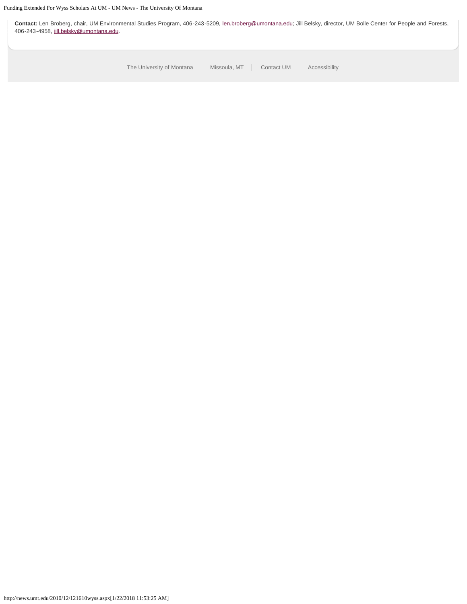**Contact:** Len Broberg, chair, UM Environmental Studies Program, 406-243-5209, [len.broberg@umontana.edu](mailto:len.broberg@umontana.edu); Jill Belsky, director, UM Bolle Center for People and Forests, 406-243-4958, [jill.belsky@umontana.edu](mailto:jill.belsky@umontana.edu).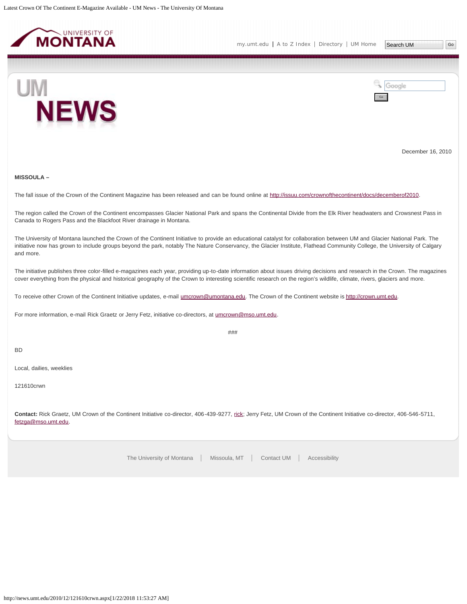<span id="page-9-0"></span>

[my.umt.edu](http://my.umt.edu/) | [A to Z Index](http://www.umt.edu/search/atoz/) | [Directory](http://www.umt.edu/directory/) | [UM Home](http://www.umt.edu/)



Google Go

December 16, 2010

## **MISSOULA –**

The fall issue of the Crown of the Continent Magazine has been released and can be found online at<http://issuu.com/crownofthecontinent/docs/decemberof2010>.

The region called the Crown of the Continent encompasses Glacier National Park and spans the Continental Divide from the Elk River headwaters and Crowsnest Pass in Canada to Rogers Pass and the Blackfoot River drainage in Montana.

The University of Montana launched the Crown of the Continent Initiative to provide an educational catalyst for collaboration between UM and Glacier National Park. The initiative now has grown to include groups beyond the park, notably The Nature Conservancy, the Glacier Institute, Flathead Community College, the University of Calgary and more.

The initiative publishes three color-filled e-magazines each year, providing up-to-date information about issues driving decisions and research in the Crown. The magazines cover everything from the physical and historical geography of the Crown to interesting scientific research on the region's wildlife, climate, rivers, glaciers and more.

###

To receive other Crown of the Continent Initiative updates, e-mail [umcrown@umontana.edu.](mailto:umcrown@umontana.edu) The Crown of the Continent website is [http://crown.umt.edu.](http://crown.umt.edu/)

For more information, e-mail Rick Graetz or Jerry Fetz, initiative co-directors, at [umcrown@mso.umt.edu](mailto:umcrown@mso.umt.edu).

BD

Local, dailies, weeklies

121610crwn

**Contact:** Rick Graetz, UM Crown of the Continent Initiative co-director, 406-439-9277, [rick;](mailto:rick) Jerry Fetz, UM Crown of the Continent Initiative co-director, 406-546-5711, [fetzga@mso.umt.edu](mailto:fetzga@mso.umt.edu).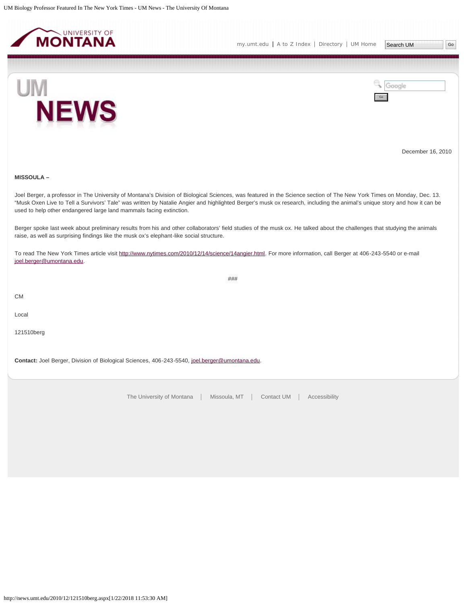<span id="page-10-0"></span>



December 16, 2010

## **MISSOULA –**

Joel Berger, a professor in The University of Montana's Division of Biological Sciences, was featured in the Science section of The New York Times on Monday, Dec. 13. "Musk Oxen Live to Tell a Survivors' Tale" was written by Natalie Angier and highlighted Berger's musk ox research, including the animal's unique story and how it can be used to help other endangered large land mammals facing extinction.

Berger spoke last week about preliminary results from his and other collaborators' field studies of the musk ox. He talked about the challenges that studying the animals raise, as well as surprising findings like the musk ox's elephant-like social structure.

###

To read The New York Times article visit [http://www.nytimes.com/2010/12/14/science/14angier.html.](http://www.nytimes.com/2010/12/14/science/14angier.html) For more information, call Berger at 406-243-5540 or e-mail [joel.berger@umontana.edu](mailto:joel.berger@umontana.edu).

CM

Local

121510berg

**Contact:** Joel Berger, Division of Biological Sciences, 406-243-5540, [joel.berger@umontana.edu](mailto:joel.berger@umontana.edu).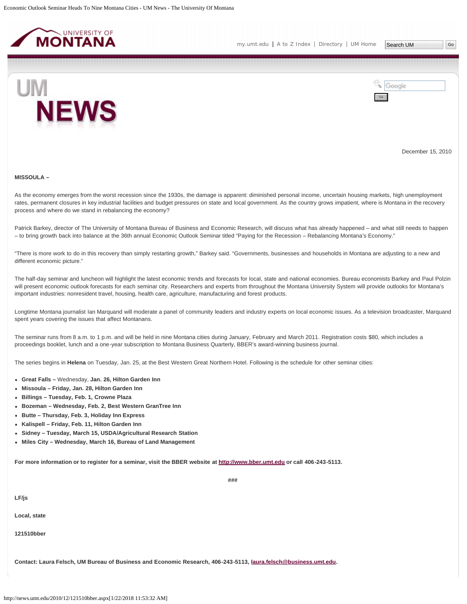<span id="page-11-0"></span>



December 15, 2010

#### **MISSOULA –**

As the economy emerges from the worst recession since the 1930s, the damage is apparent: diminished personal income, uncertain housing markets, high unemployment rates, permanent closures in key industrial facilities and budget pressures on state and local government. As the country grows impatient, where is Montana in the recovery process and where do we stand in rebalancing the economy?

Patrick Barkey, director of The University of Montana Bureau of Business and Economic Research, will discuss what has already happened – and what still needs to happen – to bring growth back into balance at the 36th annual Economic Outlook Seminar titled "Paying for the Recession – Rebalancing Montana's Economy."

"There is more work to do in this recovery than simply restarting growth," Barkey said. "Governments, businesses and households in Montana are adjusting to a new and different economic picture."

The half-day seminar and luncheon will highlight the latest economic trends and forecasts for local, state and national economies. Bureau economists Barkey and Paul Polzin will present economic outlook forecasts for each seminar city. Researchers and experts from throughout the Montana University System will provide outlooks for Montana's important industries: nonresident travel, housing, health care, agriculture, manufacturing and forest products.

Longtime Montana journalist Ian Marquand will moderate a panel of community leaders and industry experts on local economic issues. As a television broadcaster, Marquand spent years covering the issues that affect Montanans.

**###**

The seminar runs from 8 a.m. to 1 p.m. and will be held in nine Montana cities during January, February and March 2011. Registration costs \$80, which includes a proceedings booklet, lunch and a one-year subscription to Montana Business Quarterly, BBER's award-winning business journal.

The series begins in **Helena** on Tuesday, Jan. 25, at the Best Western Great Northern Hotel. Following is the schedule for other seminar cities:

- **Great Falls –** Wednesday, **Jan. 26, Hilton Garden Inn**
- **Missoula Friday, Jan. 28, Hilton Garden Inn**
- **Billings Tuesday, Feb. 1, Crowne Plaza**
- **Bozeman Wednesday, Feb. 2, Best Western GranTree Inn**
- **Butte Thursday, Feb. 3, Holiday Inn Express**
- **Kalispell Friday, Feb. 11, Hilton Garden Inn**
- **Sidney Tuesday, March 15, USDA/Agricultural Research Station**
- **Miles City Wednesday, March 16, Bureau of Land Management**

**For more information or to register for a seminar, visit the BBER website at [http://www.bber.umt.edu](http://www.bber.umt.edu/) or call 406-243-5113.**

**LF/js**

**Local, state**

**121510bber**

**Contact: Laura Felsch, UM Bureau of Business and Economic Research, 406-243-5113, [laura.felsch@business.umt.edu.](mailto:laura.felsch@business.umt.edu)**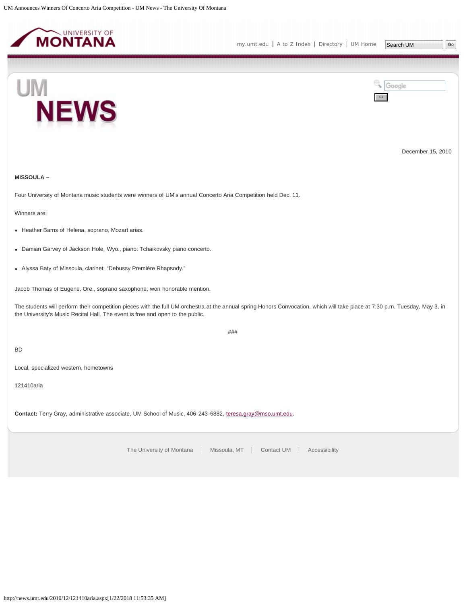<span id="page-13-0"></span>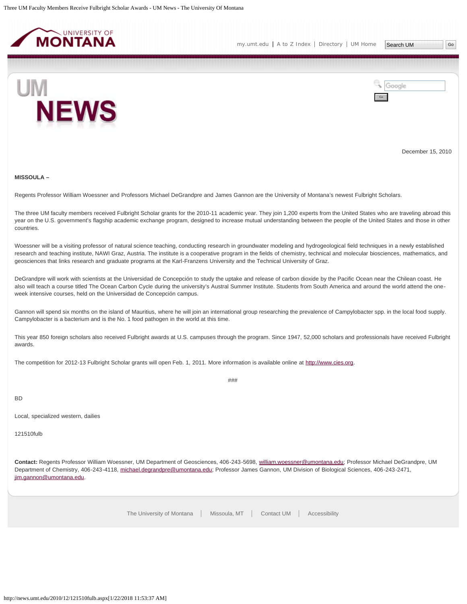<span id="page-14-0"></span>

Google

Go



December 15, 2010

#### **MISSOULA –**

Regents Professor William Woessner and Professors Michael DeGrandpre and James Gannon are the University of Montana's newest Fulbright Scholars.

The three UM faculty members received Fulbright Scholar grants for the 2010-11 academic year. They join 1,200 experts from the United States who are traveling abroad this year on the U.S. government's flagship academic exchange program, designed to increase mutual understanding between the people of the United States and those in other countries.

Woessner will be a visiting professor of natural science teaching, conducting research in groundwater modeling and hydrogeological field techniques in a newly established research and teaching institute, NAWI Graz, Austria. The institute is a cooperative program in the fields of chemistry, technical and molecular biosciences, mathematics, and geosciences that links research and graduate programs at the Karl-Franzens University and the Technical University of Graz.

DeGrandpre will work with scientists at the Universidad de Concepción to study the uptake and release of carbon dioxide by the Pacific Ocean near the Chilean coast. He also will teach a course titled The Ocean Carbon Cycle during the university's Austral Summer Institute. Students from South America and around the world attend the oneweek intensive courses, held on the Universidad de Concepción campus.

Gannon will spend six months on the island of Mauritius, where he will join an international group researching the prevalence of Campylobacter spp. in the local food supply. Campylobacter is a bacterium and is the No. 1 food pathogen in the world at this time.

This year 850 foreign scholars also received Fulbright awards at U.S. campuses through the program. Since 1947, 52,000 scholars and professionals have received Fulbright awards.

###

The competition for 2012-13 Fulbright Scholar grants will open Feb. 1, 2011. More information is available online at [http://www.cies.org.](http://www.cies.org/)

BD

Local, specialized western, dailies

121510fulb

**Contact:** Regents Professor William Woessner, UM Department of Geosciences, 406-243-5698, [william.woessner@umontana.edu;](mailto:william.woessner@umontana.edu) Professor Michael DeGrandpre, UM Department of Chemistry, 406-243-4118, [michael.degrandpre@umontana.edu](mailto:michael.degrandpre@umontana.edu); Professor James Gannon, UM Division of Biological Sciences, 406-243-2471, [jim.gannon@umontana.edu](mailto:jim.gannon@umontana.edu).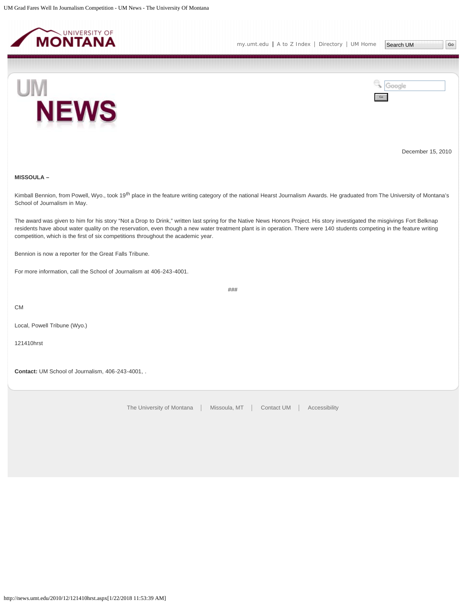<span id="page-15-0"></span>



Go

Google



December 15, 2010

## **MISSOULA –**

Kimball Bennion, from Powell, Wyo., took 19<sup>th</sup> place in the feature writing category of the national Hearst Journalism Awards. He graduated from The University of Montana's School of Journalism in May.

###

The award was given to him for his story "Not a Drop to Drink," written last spring for the Native News Honors Project. His story investigated the misgivings Fort Belknap residents have about water quality on the reservation, even though a new water treatment plant is in operation. There were 140 students competing in the feature writing competition, which is the first of six competitions throughout the academic year.

Bennion is now a reporter for the Great Falls Tribune.

For more information, call the School of Journalism at 406-243-4001.

CM

Local, Powell Tribune (Wyo.)

121410hrst

**Contact:** UM School of Journalism, 406-243-4001, .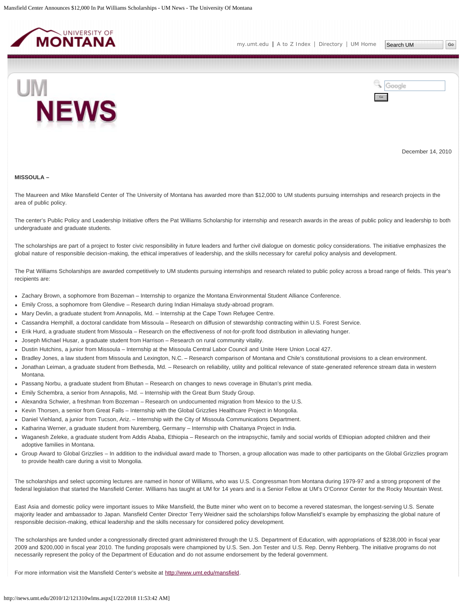<span id="page-16-0"></span>

Go

Google



December 14, 2010

#### **MISSOULA –**

The Maureen and Mike Mansfield Center of The University of Montana has awarded more than \$12,000 to UM students pursuing internships and research projects in the area of public policy.

The center's Public Policy and Leadership Initiative offers the Pat Williams Scholarship for internship and research awards in the areas of public policy and leadership to both undergraduate and graduate students.

The scholarships are part of a project to foster civic responsibility in future leaders and further civil dialogue on domestic policy considerations. The initiative emphasizes the global nature of responsible decision-making, the ethical imperatives of leadership, and the skills necessary for careful policy analysis and development.

The Pat Williams Scholarships are awarded competitively to UM students pursuing internships and research related to public policy across a broad range of fields. This year's recipients are:

- Zachary Brown, a sophomore from Bozeman Internship to organize the Montana Environmental Student Alliance Conference.
- Emily Cross, a sophomore from Glendive Research during Indian Himalaya study-abroad program.
- Mary Devlin, a graduate student from Annapolis, Md. Internship at the Cape Town Refugee Centre.
- Cassandra Hemphill, a doctoral candidate from Missoula Research on diffusion of stewardship contracting within U.S. Forest Service.
- Erik Hurd, a graduate student from Missoula Research on the effectiveness of not-for-profit food distribution in alleviating hunger.
- Joseph Michael Husar, a graduate student from Harrison Research on rural community vitality.
- Dustin Hutchins, a junior from Missoula Internship at the Missoula Central Labor Council and Unite Here Union Local 427.
- Bradley Jones, a law student from Missoula and Lexington, N.C. Research comparison of Montana and Chile's constitutional provisions to a clean environment.
- Jonathan Leiman, a graduate student from Bethesda, Md. Research on reliability, utility and political relevance of state-generated reference stream data in western Montana.
- Passang Norbu, a graduate student from Bhutan Research on changes to news coverage in Bhutan's print media.
- Emily Schembra, a senior from Annapolis, Md. Internship with the Great Burn Study Group.
- Alexandra Schwier, a freshman from Bozeman Research on undocumented migration from Mexico to the U.S.
- Kevin Thorsen, a senior from Great Falls Internship with the Global Grizzlies Healthcare Project in Mongolia.
- Daniel Viehland, a junior from Tucson, Ariz. Internship with the City of Missoula Communications Department.
- Katharina Werner, a graduate student from Nuremberg, Germany Internship with Chaitanya Project in India.
- Waganesh Zeleke, a graduate student from Addis Ababa, Ethiopia Research on the intrapsychic, family and social worlds of Ethiopian adopted children and their adoptive families in Montana.
- Group Award to Global Grizzlies In addition to the individual award made to Thorsen, a group allocation was made to other participants on the Global Grizzlies program to provide health care during a visit to Mongolia.

The scholarships and select upcoming lectures are named in honor of Williams, who was U.S. Congressman from Montana during 1979-97 and a strong proponent of the federal legislation that started the Mansfield Center. Williams has taught at UM for 14 years and is a Senior Fellow at UM's O'Connor Center for the Rocky Mountain West.

East Asia and domestic policy were important issues to Mike Mansfield, the Butte miner who went on to become a revered statesman, the longest-serving U.S. Senate majority leader and ambassador to Japan. Mansfield Center Director Terry Weidner said the scholarships follow Mansfield's example by emphasizing the global nature of responsible decision-making, ethical leadership and the skills necessary for considered policy development.

The scholarships are funded under a congressionally directed grant administered through the U.S. Department of Education, with appropriations of \$238,000 in fiscal year 2009 and \$200,000 in fiscal year 2010. The funding proposals were championed by U.S. Sen. Jon Tester and U.S. Rep. Denny Rehberg. The initiative programs do not necessarily represent the policy of the Department of Education and do not assume endorsement by the federal government.

For more information visit the Mansfield Center's website at<http://www.umt.edu/mansfield>.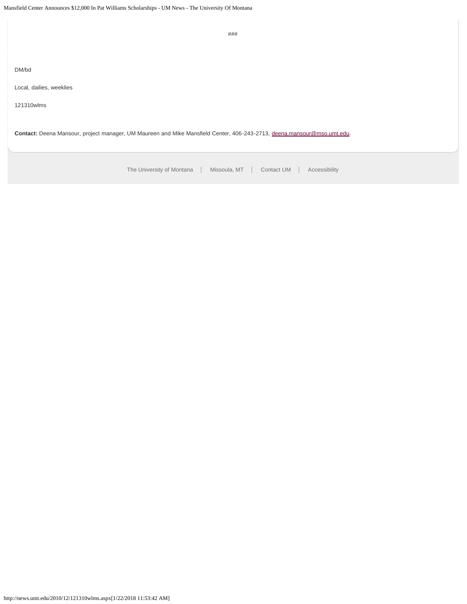[The University of Montana](http://www.umt.edu/) | Missoula, MT | [Contact UM](http://www.umt.edu/comments) | [Accessibility](http://www.umt.edu/home/accessibility) ### DM/bd Local, dailies, weeklies 121310wlms **Contact:** Deena Mansour, project manager, UM Maureen and Mike Mansfield Center, 406-243-2713, [deena.mansour@mso.umt.edu](mailto:deena.mansour@mso.umt.edu).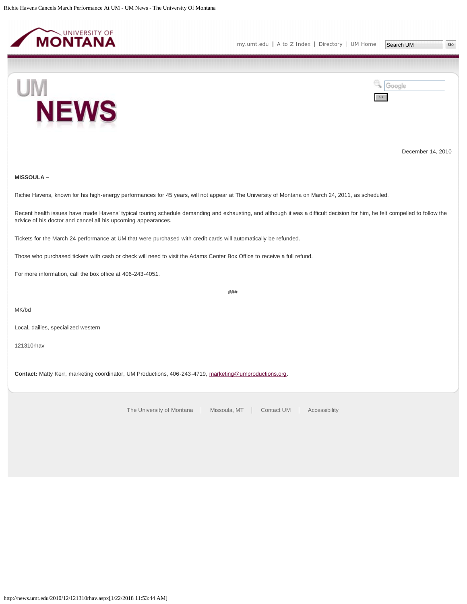<span id="page-18-0"></span>



Go

Google



December 14, 2010

#### **MISSOULA –**

Richie Havens, known for his high-energy performances for 45 years, will not appear at The University of Montana on March 24, 2011, as scheduled.

Recent health issues have made Havens' typical touring schedule demanding and exhausting, and although it was a difficult decision for him, he felt compelled to follow the advice of his doctor and cancel all his upcoming appearances.

###

Tickets for the March 24 performance at UM that were purchased with credit cards will automatically be refunded.

Those who purchased tickets with cash or check will need to visit the Adams Center Box Office to receive a full refund.

For more information, call the box office at 406-243-4051.

MK/bd

Local, dailies, specialized western

121310rhav

**Contact:** Matty Kerr, marketing coordinator, UM Productions, 406-243-4719, [marketing@umproductions.org](mailto:marketing@umproductions.org).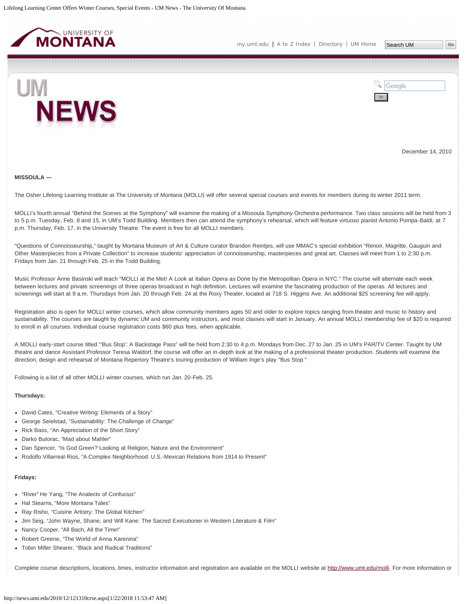<span id="page-19-0"></span>



December 14, 2010

#### **MISSOULA ―**

The Osher Lifelong Learning Institute at The University of Montana (MOLLI) will offer several special courses and events for members during its winter 2011 term.

MOLLI's fourth annual "Behind the Scenes at the Symphony" will examine the making of a Missoula Symphony Orchestra performance. Two class sessions will be held from 3 to 5 p.m. Tuesday, Feb. 8 and 15, in UM's Todd Building. Members then can attend the symphony's rehearsal, which will feature virtuoso pianist Antonio Pompa-Baldi, at 7 p.m. Thursday, Feb. 17, in the University Theatre. The event is free for all MOLLI members.

"Questions of Connoisseurship," taught by Montana Museum of Art & Culture curator Brandon Reintjes, will use MMAC's special exhibition "Renoir, Magritte, Gauguin and Other Masterpieces from a Private Collection" to increase students' appreciation of connoisseurship, masterpieces and great art. Classes will meet from 1 to 2:30 p.m. Fridays from Jan. 21 through Feb. 25 in the Todd Building.

Music Professor Anne Basinski will teach "MOLLI at the Met! A Look at Italian Opera as Done by the Metropolitan Opera in NYC." The course will alternate each week between lectures and private screenings of three operas broadcast in high definition. Lectures will examine the fascinating production of the operas. All lectures and screenings will start at 9 a.m. Thursdays from Jan. 20 through Feb. 24 at the Roxy Theater, located at 718 S. Higgins Ave. An additional \$25 screening fee will apply.

Registration also is open for MOLLI winter courses, which allow community members ages 50 and older to explore topics ranging from theater and music to history and sustainability. The courses are taught by dynamic UM and community instructors, and most classes will start in January. An annual MOLLI membership fee of \$20 is required to enroll in all courses. Individual course registration costs \$60 plus fees, when applicable.

A MOLLI early-start course titled "'Bus Stop': A Backstage Pass" will be held from 2:30 to 4 p.m. Mondays from Dec. 27 to Jan. 25 in UM's PAR/TV Center. Taught by UM theatre and dance Assistant Professor Teresa Waldorf, the course will offer an in-depth look at the making of a professional theater production. Students will examine the direction, design and rehearsal of Montana Repertory Theatre's touring production of William Inge's play "Bus Stop."

Following is a list of all other MOLLI winter courses, which run Jan. 20-Feb. 25.

#### **Thursdays:**

- David Cates, "Creative Writing: Elements of a Story"
- George Seielstad, "Sustainability: The Challenge of Change"
- Rick Bass, "An Appreciation of the Short Story"
- Darko Butorac, "Mad about Mahler"
- Dan Spencer, "Is God Green? Looking at Religion, Nature and the Environment"
- Rodolfo Villarreal-Rios, "A Complex Neighborhood: U.S.-Mexican Relations from 1914 to Present"

## **Fridays:**

- "River" He Yang, "The Analects of Confucius"
- Hal Stearns, "More Montana Tales"
- Ray Risho, "Cuisine Artistry: The Global Kitchen"
- Jim Seig, "John Wayne, Shane, and Will Kane: The Sacred Executioner in Western Literature & Film"
- Nancy Cooper, "All Bach, All the Time!"
- Robert Greene, "The World of Anna Karenina"
- Tobin Miller Shearer, "Black and Radical Traditions"

Complete course descriptions, locations, times, instructor information and registration are available on the MOLLI website at [http://www.umt.edu/molli.](http://www.umt.edu/molli) For more information or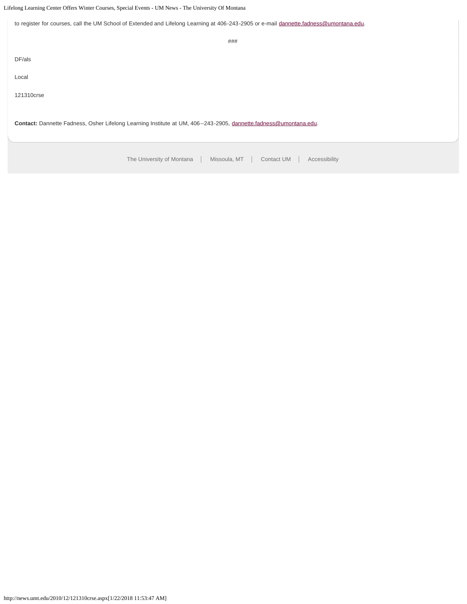Lifelong Learning Center Offers Winter Courses, Special Events - UM News - The University Of Montana

[The University of Montana](http://www.umt.edu/) | Missoula, MT | [Contact UM](http://www.umt.edu/comments) | [Accessibility](http://www.umt.edu/home/accessibility) to register for courses, call the UM School of Extended and Lifelong Learning at 406-243-2905 or e-mail [dannette.fadness@umontana.edu.](mailto:dannette.fadness@umontana.edu) ### DF/als Local 121310crse **Contact:** Dannette Fadness, Osher Lifelong Learning Institute at UM, 406--243-2905, [dannette.fadness@umontana.edu.](mailto:dannette.fadness@umontana.edu)

http://news.umt.edu/2010/12/121310crse.aspx[1/22/2018 11:53:47 AM]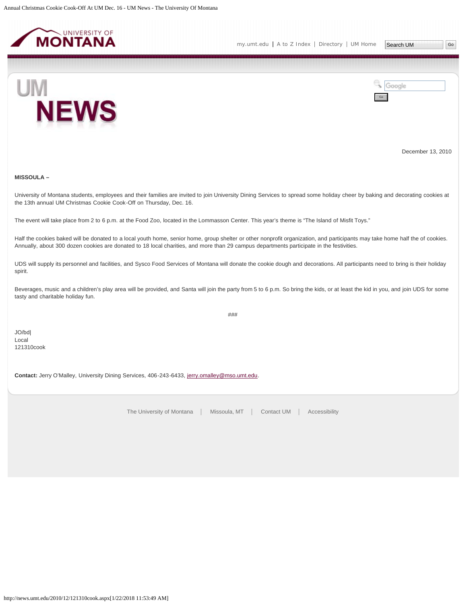<span id="page-21-0"></span>



December 13, 2010

## **MISSOULA –**

University of Montana students, employees and their families are invited to join University Dining Services to spread some holiday cheer by baking and decorating cookies at the 13th annual UM Christmas Cookie Cook-Off on Thursday, Dec. 16.

The event will take place from 2 to 6 p.m. at the Food Zoo, located in the Lommasson Center. This year's theme is "The Island of Misfit Toys."

Half the cookies baked will be donated to a local youth home, senior home, group shelter or other nonprofit organization, and participants may take home half the of cookies. Annually, about 300 dozen cookies are donated to 18 local charities, and more than 29 campus departments participate in the festivities.

UDS will supply its personnel and facilities, and Sysco Food Services of Montana will donate the cookie dough and decorations. All participants need to bring is their holiday spirit.

Beverages, music and a children's play area will be provided, and Santa will join the party from 5 to 6 p.m. So bring the kids, or at least the kid in you, and join UDS for some tasty and charitable holiday fun.

###

JO/bd| Local 121310cook

**Contact:** Jerry O'Malley, University Dining Services, 406-243-6433, [jerry.omalley@mso.umt.edu](mailto:jerry.omalley@mso.umt.edu).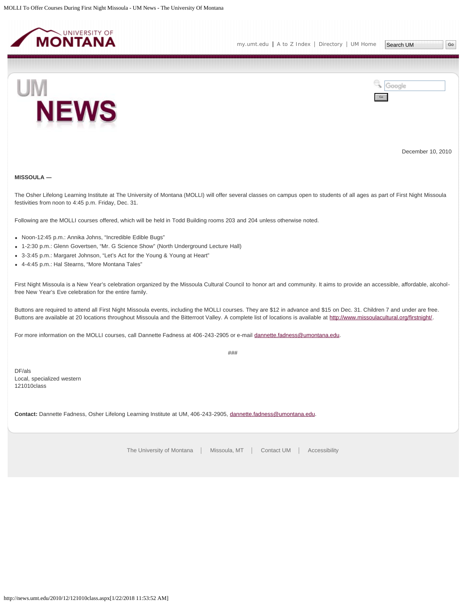<span id="page-22-0"></span>

Go

Google



December 10, 2010

## **MISSOULA ―**

The Osher Lifelong Learning Institute at The University of Montana (MOLLI) will offer several classes on campus open to students of all ages as part of First Night Missoula festivities from noon to 4:45 p.m. Friday, Dec. 31.

Following are the MOLLI courses offered, which will be held in Todd Building rooms 203 and 204 unless otherwise noted.

- Noon-12:45 p.m.: Annika Johns, "Incredible Edible Bugs"
- 1-2:30 p.m.: Glenn Govertsen, "Mr. G Science Show" (North Underground Lecture Hall)
- 3-3:45 p.m.: Margaret Johnson, "Let's Act for the Young & Young at Heart"
- 4-4:45 p.m.: Hal Stearns, "More Montana Tales"

First Night Missoula is a New Year's celebration organized by the Missoula Cultural Council to honor art and community. It aims to provide an accessible, affordable, alcoholfree New Year's Eve celebration for the entire family.

Buttons are required to attend all First Night Missoula events, including the MOLLI courses. They are \$12 in advance and \$15 on Dec. 31. Children 7 and under are free. Buttons are available at 20 locations throughout Missoula and the Bitterroot Valley. A complete list of locations is available at<http://www.missoulacultural.org/firstnight/>.

For more information on the MOLLI courses, call Dannette Fadness at 406-243-2905 or e-mail [dannette.fadness@umontana.edu.](mailto:dannette.fadness@umontana.edu)

###

DF/als Local, specialized western 121010class

**Contact:** Dannette Fadness, Osher Lifelong Learning Institute at UM, 406-243-2905, [dannette.fadness@umontana.edu.](mailto:dannette.fadness@umontana.edu)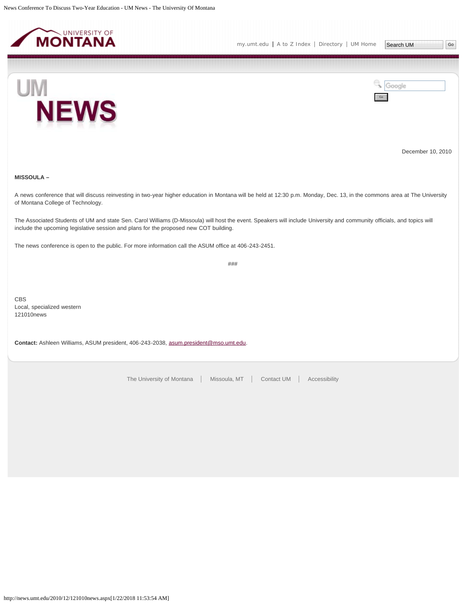<span id="page-23-0"></span>



Go

Google



December 10, 2010

## **MISSOULA –**

A news conference that will discuss reinvesting in two-year higher education in Montana will be held at 12:30 p.m. Monday, Dec. 13, in the commons area at The University of Montana College of Technology.

The Associated Students of UM and state Sen. Carol Williams (D-Missoula) will host the event. Speakers will include University and community officials, and topics will include the upcoming legislative session and plans for the proposed new COT building.

The news conference is open to the public. For more information call the ASUM office at 406-243-2451.

###

CBS Local, specialized western 121010news

**Contact:** Ashleen Williams, ASUM president, 406-243-2038, [asum.president@mso.umt.edu](mailto:asum.president@mso.umt.edu).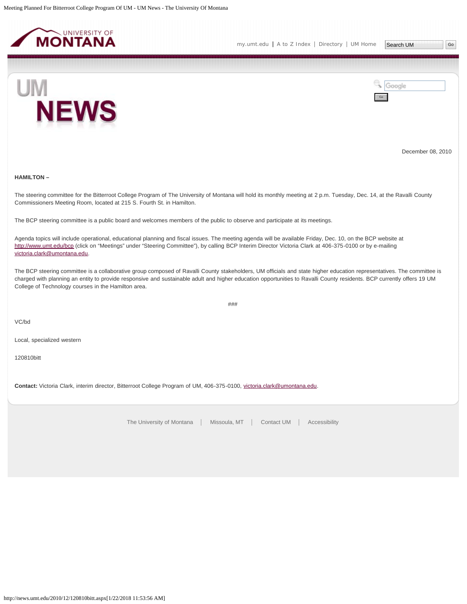<span id="page-24-0"></span>

[my.umt.edu](http://my.umt.edu/) | [A to Z Index](http://www.umt.edu/search/atoz/) | [Directory](http://www.umt.edu/directory/) | [UM Home](http://www.umt.edu/)



Google Go

December 08, 2010

## **HAMILTON –**

The steering committee for the Bitterroot College Program of The University of Montana will hold its monthly meeting at 2 p.m. Tuesday, Dec. 14, at the Ravalli County Commissioners Meeting Room, located at 215 S. Fourth St. in Hamilton.

The BCP steering committee is a public board and welcomes members of the public to observe and participate at its meetings.

Agenda topics will include operational, educational planning and fiscal issues. The meeting agenda will be available Friday, Dec. 10, on the BCP website at <http://www.umt.edu/bcp>(click on "Meetings" under "Steering Committee"), by calling BCP Interim Director Victoria Clark at 406-375-0100 or by e-mailing [victoria.clark@umontana.edu](mailto:victoria.clark@umontana.edu).

The BCP steering committee is a collaborative group composed of Ravalli County stakeholders, UM officials and state higher education representatives. The committee is charged with planning an entity to provide responsive and sustainable adult and higher education opportunities to Ravalli County residents. BCP currently offers 19 UM College of Technology courses in the Hamilton area.

###

VC/bd

Local, specialized western

120810bitt

Contact: Victoria Clark, interim director, Bitterroot College Program of UM, 406-375-0100, [victoria.clark@umontana.edu](mailto:victoria.clark@umontana.edu).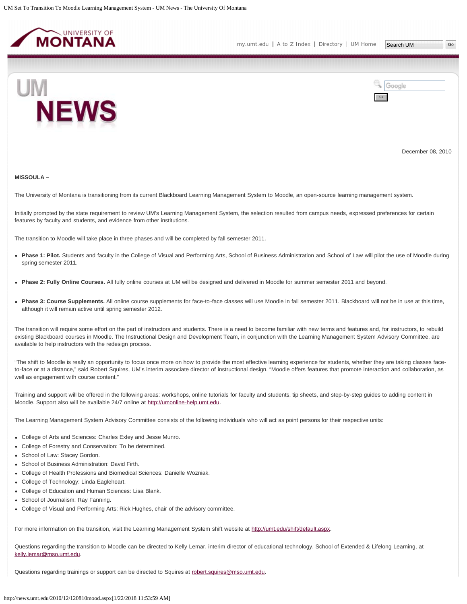<span id="page-25-0"></span>



December 08, 2010

#### **MISSOULA –**

The University of Montana is transitioning from its current Blackboard Learning Management System to Moodle, an open-source learning management system.

Initially prompted by the state requirement to review UM's Learning Management System, the selection resulted from campus needs, expressed preferences for certain features by faculty and students, and evidence from other institutions.

The transition to Moodle will take place in three phases and will be completed by fall semester 2011.

- **Phase 1: Pilot.** Students and faculty in the College of Visual and Performing Arts, School of Business Administration and School of Law will pilot the use of Moodle during spring semester 2011.
- **Phase 2: Fully Online Courses.** All fully online courses at UM will be designed and delivered in Moodle for summer semester 2011 and beyond.
- Phase 3: Course Supplements. All online course supplements for face-to-face classes will use Moodle in fall semester 2011. Blackboard will not be in use at this time, although it will remain active until spring semester 2012.

The transition will require some effort on the part of instructors and students. There is a need to become familiar with new terms and features and, for instructors, to rebuild existing Blackboard courses in Moodle. The Instructional Design and Development Team, in conjunction with the Learning Management System Advisory Committee, are available to help instructors with the redesign process.

"The shift to Moodle is really an opportunity to focus once more on how to provide the most effective learning experience for students, whether they are taking classes faceto-face or at a distance," said Robert Squires, UM's interim associate director of instructional design. "Moodle offers features that promote interaction and collaboration, as well as engagement with course content."

Training and support will be offered in the following areas: workshops, online tutorials for faculty and students, tip sheets, and step-by-step guides to adding content in Moodle. Support also will be available 24/7 online at [http://umonline-help.umt.edu.](http://umonline-help.umt.edu/)

The Learning Management System Advisory Committee consists of the following individuals who will act as point persons for their respective units:

- College of Arts and Sciences: Charles Exley and Jesse Munro.
- College of Forestry and Conservation: To be determined.
- School of Law: Stacey Gordon.
- School of Business Administration: David Firth.
- College of Health Professions and Biomedical Sciences: Danielle Wozniak.
- College of Technology: Linda Eagleheart.
- College of Education and Human Sciences: Lisa Blank.
- School of Journalism: Ray Fanning.
- College of Visual and Performing Arts: Rick Hughes, chair of the advisory committee.

For more information on the transition, visit the Learning Management System shift website at [http://umt.edu/shift/default.aspx.](http://umt.edu/shift/default.aspx)

Questions regarding the transition to Moodle can be directed to Kelly Lemar, interim director of educational technology, School of Extended & Lifelong Learning, at [kelly.lemar@mso.umt.edu.](mailto:kelly.lemar@mso.umt.edu)

Questions regarding trainings or support can be directed to Squires at [robert.squires@mso.umt.edu.](mailto:robert.squires@mso.umt.edu)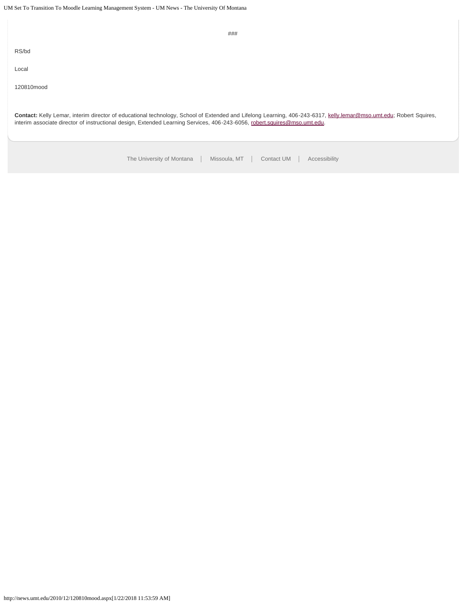| ###                                                                                                                                                                                                                                                                                             |
|-------------------------------------------------------------------------------------------------------------------------------------------------------------------------------------------------------------------------------------------------------------------------------------------------|
| RS/bd                                                                                                                                                                                                                                                                                           |
| Local                                                                                                                                                                                                                                                                                           |
| 120810mood                                                                                                                                                                                                                                                                                      |
| Contact: Kelly Lemar, interim director of educational technology, School of Extended and Lifelong Learning, 406-243-6317, kelly.lemar@mso.umt.edu; Robert Squires,<br>interim associate director of instructional design, Extended Learning Services, 406-243-6056, robert.squires@mso.umt.edu. |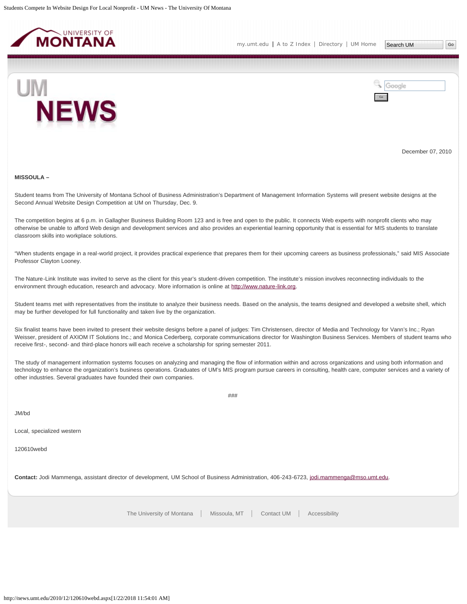<span id="page-27-0"></span>

Google

Go



December 07, 2010

#### **MISSOULA –**

Student teams from The University of Montana School of Business Administration's Department of Management Information Systems will present website designs at the Second Annual Website Design Competition at UM on Thursday, Dec. 9.

The competition begins at 6 p.m. in Gallagher Business Building Room 123 and is free and open to the public. It connects Web experts with nonprofit clients who may otherwise be unable to afford Web design and development services and also provides an experiential learning opportunity that is essential for MIS students to translate classroom skills into workplace solutions.

"When students engage in a real-world project, it provides practical experience that prepares them for their upcoming careers as business professionals," said MIS Associate Professor Clayton Looney.

The Nature-Link Institute was invited to serve as the client for this year's student-driven competition. The institute's mission involves reconnecting individuals to the environment through education, research and advocacy. More information is online at [http://www.nature-link.org](http://www.nature-link.org/).

Student teams met with representatives from the institute to analyze their business needs. Based on the analysis, the teams designed and developed a website shell, which may be further developed for full functionality and taken live by the organization.

Six finalist teams have been invited to present their website designs before a panel of judges: Tim Christensen, director of Media and Technology for Vann's Inc.; Ryan Weisser, president of AXIOM IT Solutions Inc.; and Monica Cederberg, corporate communications director for Washington Business Services. Members of student teams who receive first-, second- and third-place honors will each receive a scholarship for spring semester 2011.

The study of management information systems focuses on analyzing and managing the flow of information within and across organizations and using both information and technology to enhance the organization's business operations. Graduates of UM's MIS program pursue careers in consulting, health care, computer services and a variety of other industries. Several graduates have founded their own companies.

###

JM/bd

Local, specialized western

120610webd

Contact: Jodi Mammenga, assistant director of development, UM School of Business Administration, 406-243-6723, [jodi.mammenga@mso.umt.edu](mailto:jodi.mammenga@mso.umt.edu).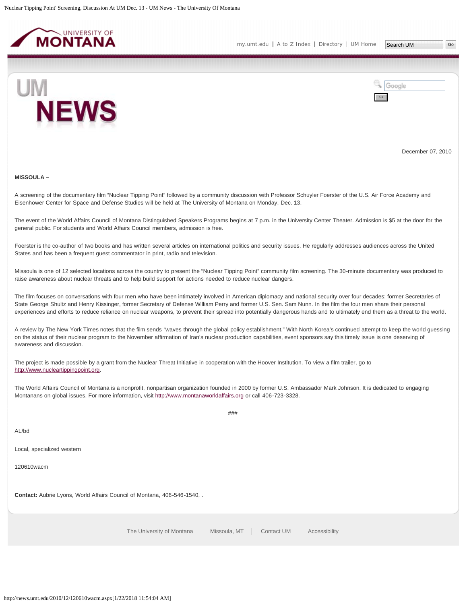<span id="page-28-0"></span>



December 07, 2010

#### **MISSOULA –**

A screening of the documentary film "Nuclear Tipping Point" followed by a community discussion with Professor Schuyler Foerster of the U.S. Air Force Academy and Eisenhower Center for Space and Defense Studies will be held at The University of Montana on Monday, Dec. 13.

The event of the World Affairs Council of Montana Distinguished Speakers Programs begins at 7 p.m. in the University Center Theater. Admission is \$5 at the door for the general public. For students and World Affairs Council members, admission is free.

Foerster is the co-author of two books and has written several articles on international politics and security issues. He regularly addresses audiences across the United States and has been a frequent guest commentator in print, radio and television.

Missoula is one of 12 selected locations across the country to present the "Nuclear Tipping Point" community film screening. The 30-minute documentary was produced to raise awareness about nuclear threats and to help build support for actions needed to reduce nuclear dangers.

The film focuses on conversations with four men who have been intimately involved in American diplomacy and national security over four decades: former Secretaries of State George Shultz and Henry Kissinger, former Secretary of Defense William Perry and former U.S. Sen. Sam Nunn. In the film the four men share their personal experiences and efforts to reduce reliance on nuclear weapons, to prevent their spread into potentially dangerous hands and to ultimately end them as a threat to the world.

A review by The New York Times notes that the film sends "waves through the global policy establishment." With North Korea's continued attempt to keep the world guessing on the status of their nuclear program to the November affirmation of Iran's nuclear production capabilities, event sponsors say this timely issue is one deserving of awareness and discussion.

The project is made possible by a grant from the Nuclear Threat Initiative in cooperation with the Hoover Institution. To view a film trailer, go to [http://www.nucleartippingpoint.org.](http://www.nucleartippingpoint.org/)

The World Affairs Council of Montana is a nonprofit, nonpartisan organization founded in 2000 by former U.S. Ambassador Mark Johnson. It is dedicated to engaging Montanans on global issues. For more information, visit [http://www.montanaworldaffairs.org](http://www.montanaworldaffairs.org/) or call 406-723-3328.

###

AL/bd

Local, specialized western

120610wacm

**Contact:** Aubrie Lyons, World Affairs Council of Montana, 406-546-1540, .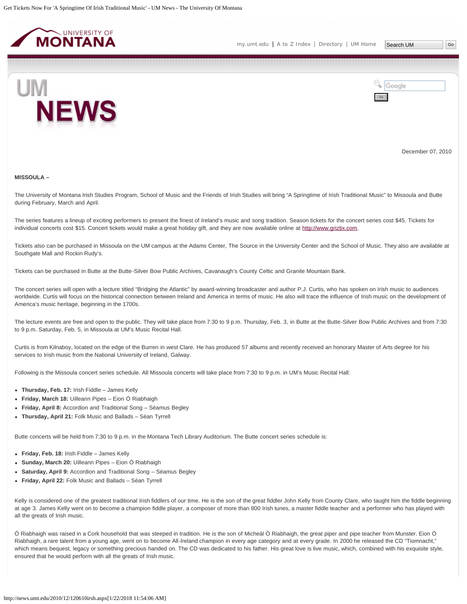<span id="page-29-0"></span>



December 07, 2010

#### **MISSOULA –**

The University of Montana Irish Studies Program, School of Music and the Friends of Irish Studies will bring "A Springtime of Irish Traditional Music" to Missoula and Butte during February, March and April.

The series features a lineup of exciting performers to present the finest of Ireland's music and song tradition. Season tickets for the concert series cost \$45. Tickets for individual concerts cost \$15. Concert tickets would make a great holiday gift, and they are now available online at [http://www.griztix.com](http://www.griztix.com/).

Tickets also can be purchased in Missoula on the UM campus at the Adams Center, The Source in the University Center and the School of Music. They also are available at Southgate Mall and Rockin Rudy's.

Tickets can be purchased in Butte at the Butte-Silver Bow Public Archives, Cavanaugh's County Celtic and Granite Mountain Bank.

The concert series will open with a lecture titled "Bridging the Atlantic" by award-winning broadcaster and author P.J. Curtis, who has spoken on Irish music to audiences worldwide. Curtis will focus on the historical connection between Ireland and America in terms of music. He also will trace the influence of Irish music on the development of America's music heritage, beginning in the 1700s.

The lecture events are free and open to the public. They will take place from 7:30 to 9 p.m. Thursday, Feb. 3, in Butte at the Butte-Silver Bow Public Archives and from 7:30 to 9 p.m. Saturday, Feb. 5, in Missoula at UM's Music Recital Hall.

Curtis is from Kilnaboy, located on the edge of the Burren in west Clare. He has produced 57 albums and recently received an honorary Master of Arts degree for his services to Irish music from the National University of Ireland, Galway.

Following is the Missoula concert series schedule. All Missoula concerts will take place from 7:30 to 9 p.m. in UM's Music Recital Hall:

- **Thursday, Feb. 17:** Irish Fiddle James Kelly
- **Friday, March 18:** Uilleann Pipes Eion Ó Riabhaigh
- **Friday, April 8:** Accordion and Traditional Song Séamus Begley
- **Thursday, April 21:** Folk Music and Ballads Séan Tyrrell

Butte concerts will be held from 7:30 to 9 p.m. in the Montana Tech Library Auditorium. The Butte concert series schedule is:

- **Friday, Feb. 18:** Irish Fiddle James Kelly
- **Sunday, March 20:** Uilleann Pipes Eion Ó Riabhaigh
- **Saturday, April 9:** Accordion and Traditional Song Séamus Begley
- **Friday, April 22:** Folk Music and Ballads Séan Tyrrell

Kelly is considered one of the greatest traditional Irish fiddlers of our time. He is the son of the great fiddler John Kelly from County Clare, who taught him the fiddle beginning at age 3. James Kelly went on to become a champion fiddle player, a composer of more than 800 Irish tunes, a master fiddle teacher and a performer who has played with all the greats of Irish music.

Ó Riabhaigh was raised in a Cork household that was steeped in tradition. He is the son of Micheál Ó Riabhaigh, the great piper and pipe teacher from Munster. Eion Ó Riabhaigh, a rare talent from a young age, went on to become All-Ireland champion in every age category and at every grade. In 2000 he released the CD "Tiomnacht," which means bequest, legacy or something precious handed on. The CD was dedicated to his father. His great love is live music, which, combined with his exquisite style, ensured that he would perform with all the greats of Irish music.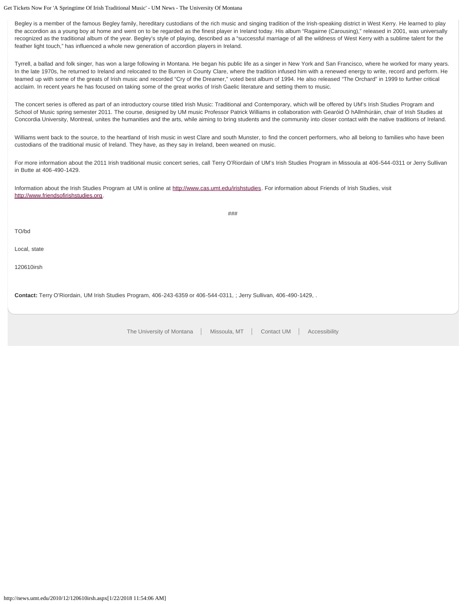Get Tickets Now For 'A Springtime Of Irish Traditional Music' - UM News - The University Of Montana

Begley is a member of the famous Begley family, hereditary custodians of the rich music and singing tradition of the Irish-speaking district in West Kerry. He learned to play the accordion as a young boy at home and went on to be regarded as the finest player in Ireland today. His album "Ragairne (Carousing)," released in 2001, was universally recognized as the traditional album of the year. Begley's style of playing, described as a "successful marriage of all the wildness of West Kerry with a sublime talent for the feather light touch," has influenced a whole new generation of accordion players in Ireland.

Tyrrell, a ballad and folk singer, has won a large following in Montana. He began his public life as a singer in New York and San Francisco, where he worked for many years. In the late 1970s, he returned to Ireland and relocated to the Burren in County Clare, where the tradition infused him with a renewed energy to write, record and perform. He teamed up with some of the greats of Irish music and recorded "Cry of the Dreamer," voted best album of 1994. He also released "The Orchard" in 1999 to further critical acclaim. In recent years he has focused on taking some of the great works of Irish Gaelic literature and setting them to music.

The concert series is offered as part of an introductory course titled Irish Music: Traditional and Contemporary, which will be offered by UM's Irish Studies Program and School of Music spring semester 2011. The course, designed by UM music Professor Patrick Williams in collaboration with Gearóid Ó hAllmhúráin, chair of Irish Studies at Concordia University, Montreal, unites the humanities and the arts, while aiming to bring students and the community into closer contact with the native traditions of Ireland.

Williams went back to the source, to the heartland of Irish music in west Clare and south Munster, to find the concert performers, who all belong to families who have been custodians of the traditional music of Ireland. They have, as they say in Ireland, been weaned on music.

For more information about the 2011 Irish traditional music concert series, call Terry O'Riordain of UM's Irish Studies Program in Missoula at 406-544-0311 or Jerry Sullivan in Butte at 406-490-1429.

Information about the Irish Studies Program at UM is online at [http://www.cas.umt.edu/irishstudies.](http://www.cas.umt.edu/irishstudies) For information about Friends of Irish Studies, visit [http://www.friendsofirishstudies.org](http://www.friendsofirishstudies.org/).

###

TO/bd

Local, state

120610irsh

**Contact:** Terry O'Riordain, UM Irish Studies Program, 406-243-6359 or 406-544-0311, ; Jerry Sullivan, 406-490-1429, .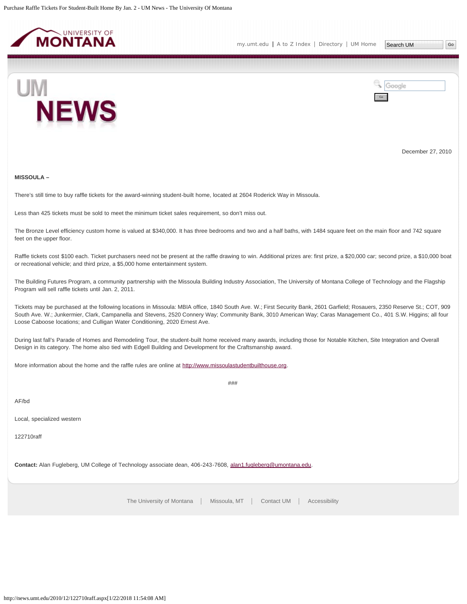<span id="page-31-0"></span>

Go

Google



December 27, 2010

## **MISSOULA –**

There's still time to buy raffle tickets for the award-winning student-built home, located at 2604 Roderick Way in Missoula.

Less than 425 tickets must be sold to meet the minimum ticket sales requirement, so don't miss out.

The Bronze Level efficiency custom home is valued at \$340,000. It has three bedrooms and two and a half baths, with 1484 square feet on the main floor and 742 square feet on the upper floor.

Raffle tickets cost \$100 each. Ticket purchasers need not be present at the raffle drawing to win. Additional prizes are: first prize, a \$20,000 car; second prize, a \$10,000 boat or recreational vehicle; and third prize, a \$5,000 home entertainment system.

The Building Futures Program, a community partnership with the Missoula Building Industry Association, The University of Montana College of Technology and the Flagship Program will sell raffle tickets until Jan. 2, 2011.

Tickets may be purchased at the following locations in Missoula: MBIA office, 1840 South Ave. W.; First Security Bank, 2601 Garfield; Rosauers, 2350 Reserve St.; COT, 909 South Ave. W.; Junkermier, Clark, Campanella and Stevens, 2520 Connery Way; Community Bank, 3010 American Way; Caras Management Co., 401 S.W. Higgins; all four Loose Caboose locations; and Culligan Water Conditioning, 2020 Ernest Ave.

During last fall's Parade of Homes and Remodeling Tour, the student-built home received many awards, including those for Notable Kitchen, Site Integration and Overall Design in its category. The home also tied with Edgell Building and Development for the Craftsmanship award.

###

More information about the home and the raffle rules are online at [http://www.missoulastudentbuilthouse.org](http://www.missoulastudentbuilthouse.org/).

AF/bd

Local, specialized western

122710raff

**Contact:** Alan Fugleberg, UM College of Technology associate dean, 406-243-7608, [alan1.fugleberg@umontana.edu](mailto:alan1.fugleberg@umontana.edu).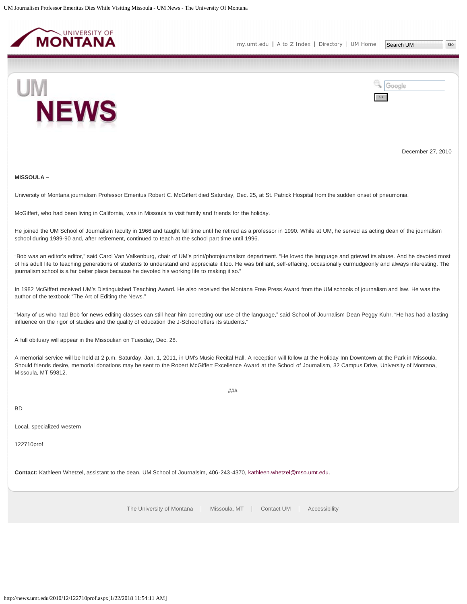<span id="page-32-0"></span>



December 27, 2010

#### **MISSOULA –**

University of Montana journalism Professor Emeritus Robert C. McGiffert died Saturday, Dec. 25, at St. Patrick Hospital from the sudden onset of pneumonia.

McGiffert, who had been living in California, was in Missoula to visit family and friends for the holiday.

He joined the UM School of Journalism faculty in 1966 and taught full time until he retired as a professor in 1990. While at UM, he served as acting dean of the journalism school during 1989-90 and, after retirement, continued to teach at the school part time until 1996.

"Bob was an editor's editor," said Carol Van Valkenburg, chair of UM's print/photojournalism department. "He loved the language and grieved its abuse. And he devoted most of his adult life to teaching generations of students to understand and appreciate it too. He was brilliant, self-effacing, occasionally curmudgeonly and always interesting. The journalism school is a far better place because he devoted his working life to making it so."

In 1982 McGiffert received UM's Distinguished Teaching Award. He also received the Montana Free Press Award from the UM schools of journalism and law. He was the author of the textbook "The Art of Editing the News."

"Many of us who had Bob for news editing classes can still hear him correcting our use of the language," said School of Journalism Dean Peggy Kuhr. "He has had a lasting influence on the rigor of studies and the quality of education the J-School offers its students."

A full obituary will appear in the Missoulian on Tuesday, Dec. 28.

A memorial service will be held at 2 p.m. Saturday, Jan. 1, 2011, in UM's Music Recital Hall. A reception will follow at the Holiday Inn Downtown at the Park in Missoula. Should friends desire, memorial donations may be sent to the Robert McGiffert Excellence Award at the School of Journalism, 32 Campus Drive, University of Montana, Missoula, MT 59812.

###

BD

Local, specialized western

122710prof

**Contact:** Kathleen Whetzel, assistant to the dean, UM School of Journalsim, 406-243-4370, [kathleen.whetzel@mso.umt.edu](mailto:kathleen.whetzel@mso.umt.edu).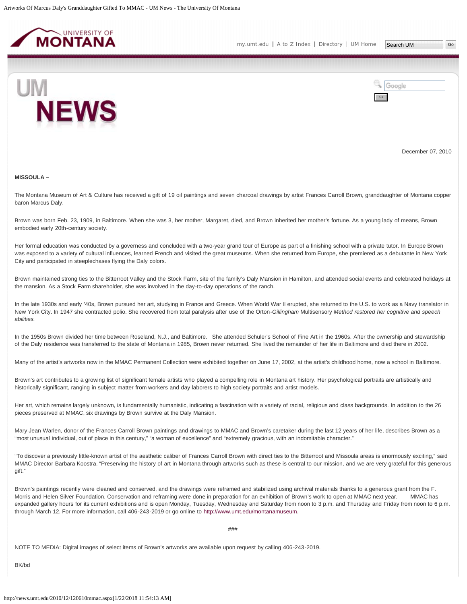<span id="page-33-0"></span>



December 07, 2010

#### **MISSOULA –**

The Montana Museum of Art & Culture has received a gift of 19 oil paintings and seven charcoal drawings by artist Frances Carroll Brown, granddaughter of Montana copper baron Marcus Daly.

Brown was born Feb. 23, 1909, in Baltimore. When she was 3, her mother, Margaret, died, and Brown inherited her mother's fortune. As a young lady of means, Brown embodied early 20th-century society.

Her formal education was conducted by a governess and concluded with a two-year grand tour of Europe as part of a finishing school with a private tutor. In Europe Brown was exposed to a variety of cultural influences, learned French and visited the great museums. When she returned from Europe, she premiered as a debutante in New York City and participated in steeplechases flying the Daly colors.

Brown maintained strong ties to the Bitterroot Valley and the Stock Farm, site of the family's Daly Mansion in Hamilton, and attended social events and celebrated holidays at the mansion. As a Stock Farm shareholder, she was involved in the day-to-day operations of the ranch.

In the late 1930s and early '40s, Brown pursued her art, studying in France and Greece. When World War II erupted, she returned to the U.S. to work as a Navy translator in New York City. In 1947 she contracted polio. She recovered from total paralysis after use of the Orton-*Gillingham* Multisensory *Method restored her cognitive and speech abilities.*

In the 1950s Brown divided her time between Roseland, N.J., and Baltimore. She attended Schuler's School of Fine Art in the 1960s. After the ownership and stewardship of the Daly residence was transferred to the state of Montana in 1985, Brown never returned. She lived the remainder of her life in Baltimore and died there in 2002.

Many of the artist's artworks now in the MMAC Permanent Collection were exhibited together on June 17, 2002, at the artist's childhood home, now a school in Baltimore.

Brown's art contributes to a growing list of significant female artists who played a compelling role in Montana art history. Her psychological portraits are artistically and historically significant, ranging in subject matter from workers and day laborers to high society portraits and artist models.

Her art, which remains largely unknown, is fundamentally humanistic, indicating a fascination with a variety of racial, religious and class backgrounds. In addition to the 26 pieces preserved at MMAC, six drawings by Brown survive at the Daly Mansion.

Mary Jean Warlen, donor of the Frances Carroll Brown paintings and drawings to MMAC and Brown's caretaker during the last 12 years of her life, describes Brown as a "most unusual individual, out of place in this century," "a woman of excellence" and "extremely gracious, with an indomitable character."

"To discover a previously little-known artist of the aesthetic caliber of Frances Carroll Brown with direct ties to the Bitterroot and Missoula areas is enormously exciting," said MMAC Director Barbara Koostra. "Preserving the history of art in Montana through artworks such as these is central to our mission, and we are very grateful for this generous gift."

Brown's paintings recently were cleaned and conserved, and the drawings were reframed and stabilized using archival materials thanks to a generous grant from the F. Morris and Helen Silver Foundation. Conservation and reframing were done in preparation for an exhibition of Brown's work to open at MMAC next year. MMAC has expanded gallery hours for its current exhibitions and is open Monday, Tuesday, Wednesday and Saturday from noon to 3 p.m. and Thursday and Friday from noon to 6 p.m. through March 12. For more information, call 406-243-2019 or go online to [http://www.umt.edu/montanamuseum.](http://www.umt.edu/montanamuseum)

###

NOTE TO MEDIA: Digital images of select items of Brown's artworks are available upon request by calling 406-243-2019.

BK/bd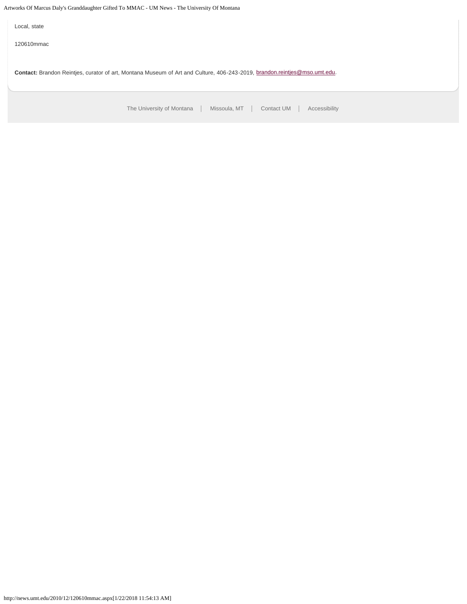Artworks Of Marcus Daly's Granddaughter Gifted To MMAC - UM News - The University Of Montana

[The University of Montana](http://www.umt.edu/) | Missoula, MT | [Contact UM](http://www.umt.edu/comments) | [Accessibility](http://www.umt.edu/home/accessibility) Local, state 120610mmac **Contact:** Brandon Reintjes, curator of art, Montana Museum of Art and Culture, 406-243-2019, [brandon.reintjes@mso.umt.edu.](mailto:brandon.reintjes@mso.umt.edu)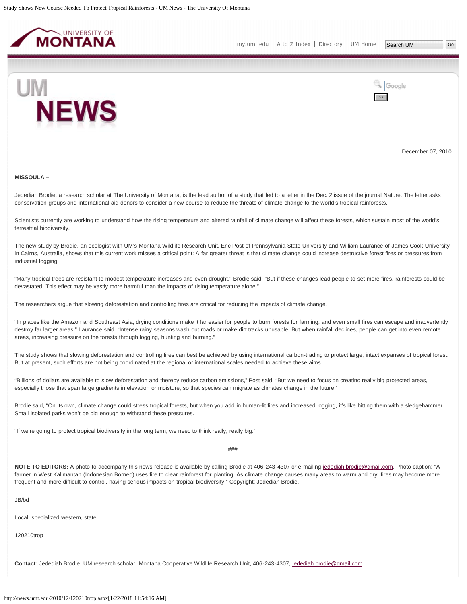<span id="page-35-0"></span>



December 07, 2010

#### **MISSOULA –**

Jedediah Brodie, a research scholar at The University of Montana, is the lead author of a study that led to a letter in the Dec. 2 issue of the journal Nature. The letter asks conservation groups and international aid donors to consider a new course to reduce the threats of climate change to the world's tropical rainforests.

Scientists currently are working to understand how the rising temperature and altered rainfall of climate change will affect these forests, which sustain most of the world's terrestrial biodiversity.

The new study by Brodie, an ecologist with UM's Montana Wildlife Research Unit, Eric Post of Pennsylvania State University and William Laurance of James Cook University in Cairns, Australia, shows that this current work misses a critical point: A far greater threat is that climate change could increase destructive forest fires or pressures from industrial logging.

"Many tropical trees are resistant to modest temperature increases and even drought," Brodie said. "But if these changes lead people to set more fires, rainforests could be devastated. This effect may be vastly more harmful than the impacts of rising temperature alone."

The researchers argue that slowing deforestation and controlling fires are critical for reducing the impacts of climate change.

"In places like the Amazon and Southeast Asia, drying conditions make it far easier for people to burn forests for farming, and even small fires can escape and inadvertently destroy far larger areas," Laurance said. "Intense rainy seasons wash out roads or make dirt tracks unusable. But when rainfall declines, people can get into even remote areas, increasing pressure on the forests through logging, hunting and burning."

The study shows that slowing deforestation and controlling fires can best be achieved by using international carbon-trading to protect large, intact expanses of tropical forest. But at present, such efforts are not being coordinated at the regional or international scales needed to achieve these aims.

"Billions of dollars are available to slow deforestation and thereby reduce carbon emissions," Post said. "But we need to focus on creating really big protected areas, especially those that span large gradients in elevation or moisture, so that species can migrate as climates change in the future."

Brodie said, "On its own, climate change could stress tropical forests, but when you add in human-lit fires and increased logging, it's like hitting them with a sledgehammer. Small isolated parks won't be big enough to withstand these pressures.

"If we're going to protect tropical biodiversity in the long term, we need to think really, really big."

###

NOTE TO EDITORS: A photo to accompany this news release is available by calling Brodie at 406-243-4307 or e-mailing [jedediah.brodie@gmail.com.](mailto:jedediah.brodie@gmail.com) Photo caption: "A farmer in West Kalimantan (Indonesian Borneo) uses fire to clear rainforest for planting. As climate change causes many areas to warm and dry, fires may become more frequent and more difficult to control, having serious impacts on tropical biodiversity." Copyright: Jedediah Brodie.

JB/bd

Local, specialized western, state

120210trop

**Contact:** Jedediah Brodie, UM research scholar, Montana Cooperative Wildlife Research Unit, 406-243-4307, [jedediah.brodie@gmail.com.](mailto:jedediah.brodie@gmail.com)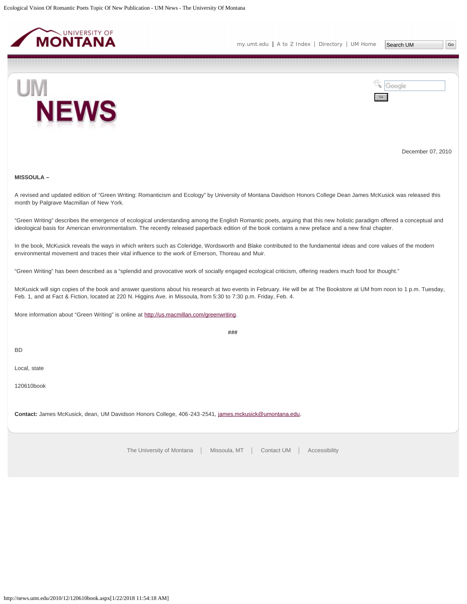<span id="page-37-0"></span>



December 07, 2010

#### **MISSOULA –**

A revised and updated edition of "Green Writing: Romanticism and Ecology" by University of Montana Davidson Honors College Dean James McKusick was released this month by Palgrave Macmillan of New York.

"Green Writing" describes the emergence of ecological understanding among the English Romantic poets, arguing that this new holistic paradigm offered a conceptual and ideological basis for American environmentalism. The recently released paperback edition of the book contains a new preface and a new final chapter.

In the book, McKusick reveals the ways in which writers such as Coleridge, Wordsworth and Blake contributed to the fundamental ideas and core values of the modern environmental movement and traces their vital influence to the work of Emerson, Thoreau and Muir.

"Green Writing" has been described as a "splendid and provocative work of socially engaged ecological criticism, offering readers much food for thought."

McKusick will sign copies of the book and answer questions about his research at two events in February. He will be at The Bookstore at UM from noon to 1 p.m. Tuesday, Feb. 1, and at Fact & Fiction, located at 220 N. Higgins Ave. in Missoula, from 5:30 to 7:30 p.m. Friday, Feb. 4.

**###**

More information about "Green Writing" is online at<http://us.macmillan.com/greenwriting>.

BD

Local, state

120610book

**Contact:** James McKusick, dean, UM Davidson Honors College, 406-243-2541, [james.mckusick@umontana.edu](mailto:james.mckusick@umontana.edu).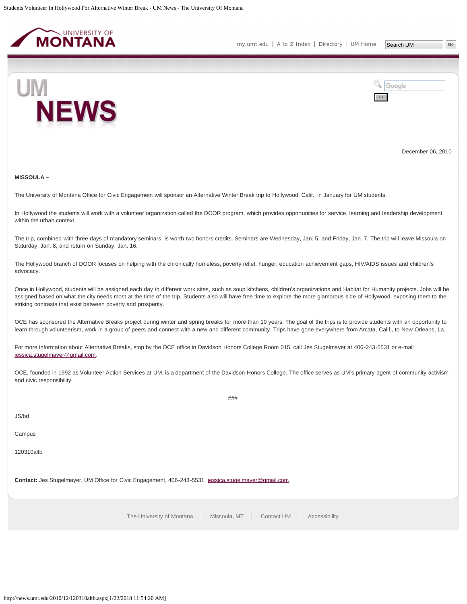<span id="page-38-0"></span>

Go

Google



December 06, 2010

#### **MISSOULA –**

The University of Montana Office for Civic Engagement will sponsor an Alternative Winter Break trip to Hollywood, Calif., in January for UM students.

In Hollywood the students will work with a volunteer organization called the DOOR program, which provides opportunities for service, learning and leadership development within the urban context.

The trip, combined with three days of mandatory seminars, is worth two honors credits. Seminars are Wednesday, Jan. 5, and Friday, Jan. 7. The trip will leave Missoula on Saturday, Jan. 8, and return on Sunday, Jan. 16.

The Hollywood branch of DOOR focuses on helping with the chronically homeless, poverty relief, hunger, education achievement gaps, HIV/AIDS issues and children's advocacy.

Once in Hollywood, students will be assigned each day to different work sites, such as soup kitchens, children's organizations and Habitat for Humanity projects. Jobs will be assigned based on what the city needs most at the time of the trip. Students also will have free time to explore the more glamorous side of Hollywood, exposing them to the striking contrasts that exist between poverty and prosperity.

OCE has sponsored the Alternative Breaks project during winter and spring breaks for more than 10 years. The goal of the trips is to provide students with an opportunity to learn through volunteerism, work in a group of peers and connect with a new and different community. Trips have gone everywhere from Arcata, Calif., to New Orleans, La.

For more information about Alternative Breaks, stop by the OCE office in Davidson Honors College Room 015, call Jes Stugelmayer at 406-243-5531 or e-mail [jessica.stugelmayer@gmail.com.](mailto:jessica.stugelmayer@gmail.com)

OCE, founded in 1992 as Volunteer Action Services at UM, is a department of the Davidson Honors College. The office serves as UM's primary agent of community activism and civic responsibility.

###

## JS/bd

Campus

120310altb

**Contact:** Jes Stugelmayer, UM Office for Civic Engagement, 406-243-5531, [jessica.stugelmayer@gmail.com.](mailto:jessica.stugelmayer@gmail.com)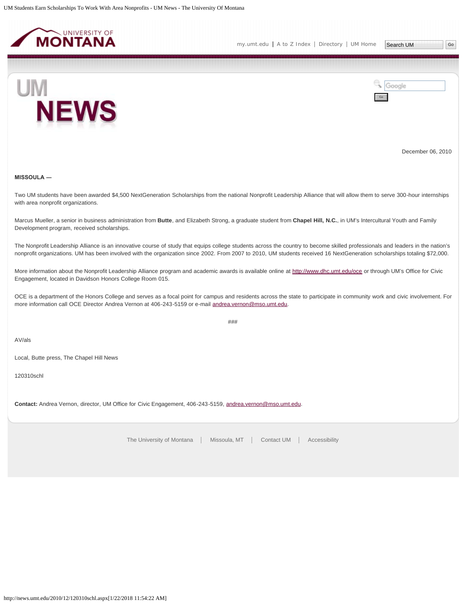<span id="page-39-0"></span>



December 06, 2010

## **MISSOULA ―**

Two UM students have been awarded \$4,500 NextGeneration Scholarships from the national Nonprofit Leadership Alliance that will allow them to serve 300-hour internships with area nonprofit organizations.

Marcus Mueller, a senior in business administration from **Butte**, and Elizabeth Strong, a graduate student from **Chapel Hill, N.C.**, in UM's Intercultural Youth and Family Development program, received scholarships.

The Nonprofit Leadership Alliance is an innovative course of study that equips college students across the country to become skilled professionals and leaders in the nation's nonprofit organizations. UM has been involved with the organization since 2002. From 2007 to 2010, UM students received 16 NextGeneration scholarships totaling \$72,000.

More information about the Nonprofit Leadership Alliance program and academic awards is available online at <http://www.dhc.umt.edu/oce>or through UM's Office for Civic Engagement, located in Davidson Honors College Room 015.

OCE is a department of the Honors College and serves as a focal point for campus and residents across the state to participate in community work and civic involvement. For more information call OCE Director Andrea Vernon at 406-243-5159 or e-mail [andrea.vernon@mso.umt.edu.](mailto:andrea.vernon@mso.umt.edu)

###

AV/als

Local, Butte press, The Chapel Hill News

120310schl

**Contact:** Andrea Vernon, director, UM Office for Civic Engagement, 406-243-5159, [andrea.vernon@mso.umt.edu.](mailto:andrea.vernon@mso.umt.edu)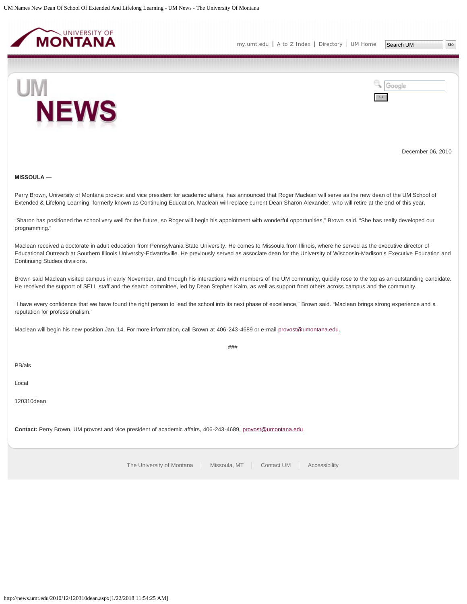<span id="page-40-0"></span>



December 06, 2010

#### **MISSOULA ―**

Perry Brown, University of Montana provost and vice president for academic affairs, has announced that Roger Maclean will serve as the new dean of the UM School of Extended & Lifelong Learning, formerly known as Continuing Education. Maclean will replace current Dean Sharon Alexander, who will retire at the end of this year.

"Sharon has positioned the school very well for the future, so Roger will begin his appointment with wonderful opportunities," Brown said. "She has really developed our programming."

Maclean received a doctorate in adult education from Pennsylvania State University. He comes to Missoula from Illinois, where he served as the executive director of Educational Outreach at Southern Illinois University-Edwardsville. He previously served as associate dean for the University of Wisconsin-Madison's Executive Education and Continuing Studies divisions.

Brown said Maclean visited campus in early November, and through his interactions with members of the UM community, quickly rose to the top as an outstanding candidate. He received the support of SELL staff and the search committee, led by Dean Stephen Kalm, as well as support from others across campus and the community.

 $###$ 

"I have every confidence that we have found the right person to lead the school into its next phase of excellence," Brown said. "Maclean brings strong experience and a reputation for professionalism."

Maclean will begin his new position Jan. 14. For more information, call Brown at 406-243-4689 or e-mail [provost@umontana.edu.](mailto:provost@umontana.edu)

PB/als

Local

120310dean

**Contact:** Perry Brown, UM provost and vice president of academic affairs, 406-243-4689, [provost@umontana.edu.](mailto:provost@umontana.edu)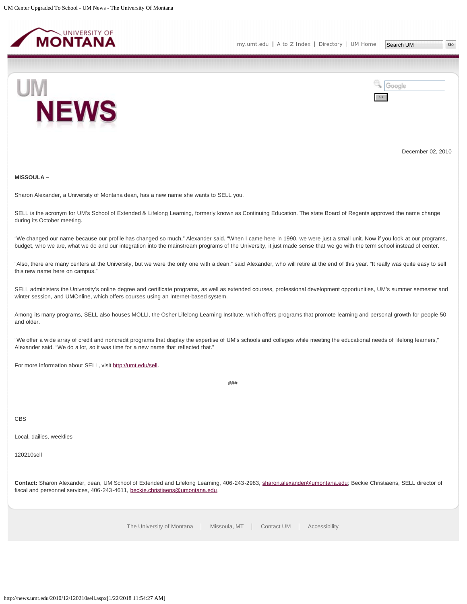<span id="page-41-0"></span>



December 02, 2010

**MISSOULA –**

Sharon Alexander, a University of Montana dean, has a new name she wants to SELL you.

SELL is the acronym for UM's School of Extended & Lifelong Learning, formerly known as Continuing Education. The state Board of Regents approved the name change during its October meeting.

"We changed our name because our profile has changed so much," Alexander said. "When I came here in 1990, we were just a small unit. Now if you look at our programs, budget, who we are, what we do and our integration into the mainstream programs of the University, it just made sense that we go with the term school instead of center.

"Also, there are many centers at the University, but we were the only one with a dean," said Alexander, who will retire at the end of this year. "It really was quite easy to sell this new name here on campus."

SELL administers the University's online degree and certificate programs, as well as extended courses, professional development opportunities, UM's summer semester and winter session, and UMOnline, which offers courses using an Internet-based system.

Among its many programs, SELL also houses MOLLI, the Osher Lifelong Learning Institute, which offers programs that promote learning and personal growth for people 50 and older.

"We offer a wide array of credit and noncredit programs that display the expertise of UM's schools and colleges while meeting the educational needs of lifelong learners," Alexander said. "We do a lot, so it was time for a new name that reflected that."

For more information about SELL, visit [http://umt.edu/sell.](http://umt.edu/sell)

###

CBS

Local, dailies, weeklies

120210sell

Contact: Sharon Alexander, dean, UM School of Extended and Lifelong Learning, 406-243-2983, [sharon.alexander@umontana.edu](mailto:sharon.alexander@umontana.edu); Beckie Christiaens, SELL director of fiscal and personnel services, 406-243-4611, [beckie.christiaens@umontana.edu.](mailto:beckie.christiaens@umontana.edu)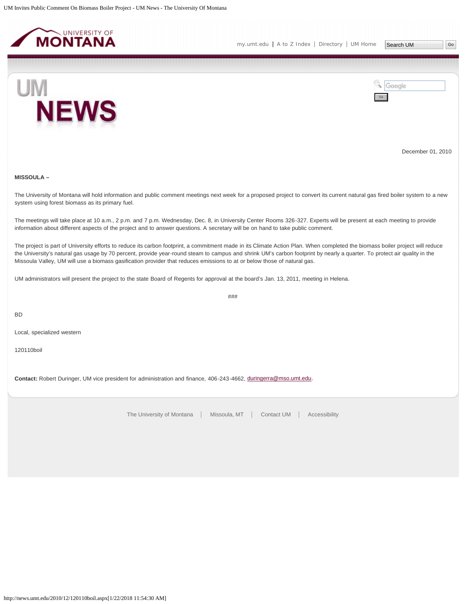<span id="page-42-0"></span>



December 01, 2010

## **MISSOULA –**

The University of Montana will hold information and public comment meetings next week for a proposed project to convert its current natural gas fired boiler system to a new system using forest biomass as its primary fuel.

The meetings will take place at 10 a.m., 2 p.m. and 7 p.m. Wednesday, Dec. 8, in University Center Rooms 326-327. Experts will be present at each meeting to provide information about different aspects of the project and to answer questions. A secretary will be on hand to take public comment.

The project is part of University efforts to reduce its carbon footprint, a commitment made in its Climate Action Plan. When completed the biomass boiler project will reduce the University's natural gas usage by 70 percent, provide year-round steam to campus and shrink UM's carbon footprint by nearly a quarter. To protect air quality in the Missoula Valley, UM will use a biomass gasification provider that reduces emissions to at or below those of natural gas.

###

UM administrators will present the project to the state Board of Regents for approval at the board's Jan. 13, 2011, meeting in Helena.

BD

Local, specialized western

120110boil

**Contact:** Robert Duringer, UM vice president for administration and finance, 406-243-4662, [duringerra@mso.umt.edu](mailto:duringerra@mso.umt.edu).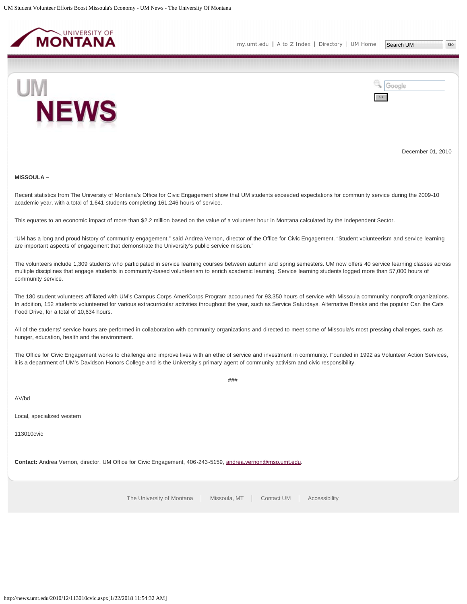<span id="page-43-0"></span>



December 01, 2010

#### **MISSOULA –**

Recent statistics from The University of Montana's Office for Civic Engagement show that UM students exceeded expectations for community service during the 2009-10 academic year, with a total of 1,641 students completing 161,246 hours of service.

This equates to an economic impact of more than \$2.2 million based on the value of a volunteer hour in Montana calculated by the Independent Sector.

"UM has a long and proud history of community engagement," said Andrea Vernon, director of the Office for Civic Engagement. "Student volunteerism and service learning are important aspects of engagement that demonstrate the University's public service mission."

The volunteers include 1,309 students who participated in service learning courses between autumn and spring semesters. UM now offers 40 service learning classes across multiple disciplines that engage students in community-based volunteerism to enrich academic learning. Service learning students logged more than 57,000 hours of community service.

The 180 student volunteers affiliated with UM's Campus Corps AmeriCorps Program accounted for 93,350 hours of service with Missoula community nonprofit organizations. In addition, 152 students volunteered for various extracurricular activities throughout the year, such as Service Saturdays, Alternative Breaks and the popular Can the Cats Food Drive, for a total of 10,634 hours.

All of the students' service hours are performed in collaboration with community organizations and directed to meet some of Missoula's most pressing challenges, such as hunger, education, health and the environment.

The Office for Civic Engagement works to challenge and improve lives with an ethic of service and investment in community. Founded in 1992 as Volunteer Action Services, it is a department of UM's Davidson Honors College and is the University's primary agent of community activism and civic responsibility.

###

AV/bd

Local, specialized western

113010cvic

**Contact:** Andrea Vernon, director, UM Office for Civic Engagement, 406-243-5159, [andrea.vernon@mso.umt.edu.](mailto:andrea.vernon@mso.umt.edu)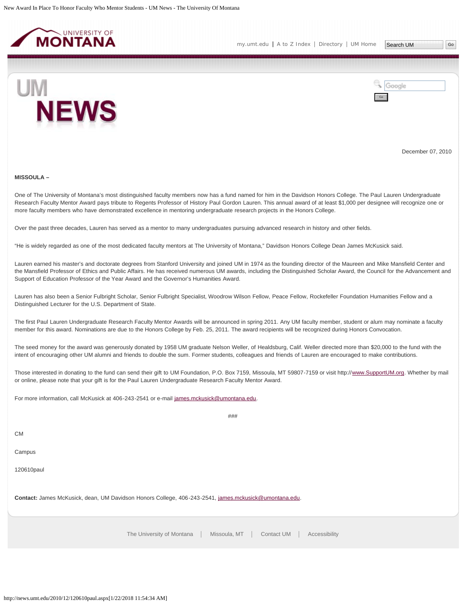<span id="page-44-0"></span>



December 07, 2010

#### **MISSOULA –**

One of The University of Montana's most distinguished faculty members now has a fund named for him in the Davidson Honors College. The Paul Lauren Undergraduate Research Faculty Mentor Award pays tribute to Regents Professor of History Paul Gordon Lauren. This annual award of at least \$1,000 per designee will recognize one or more faculty members who have demonstrated excellence in mentoring undergraduate research projects in the Honors College.

Over the past three decades, Lauren has served as a mentor to many undergraduates pursuing advanced research in history and other fields.

"He is widely regarded as one of the most dedicated faculty mentors at The University of Montana," Davidson Honors College Dean James McKusick said.

Lauren earned his master's and doctorate degrees from Stanford University and joined UM in 1974 as the founding director of the Maureen and Mike Mansfield Center and the Mansfield Professor of Ethics and Public Affairs. He has received numerous UM awards, including the Distinguished Scholar Award, the Council for the Advancement and Support of Education Professor of the Year Award and the Governor's Humanities Award.

Lauren has also been a Senior Fulbright Scholar, Senior Fulbright Specialist, Woodrow Wilson Fellow, Peace Fellow, Rockefeller Foundation Humanities Fellow and a Distinguished Lecturer for the U.S. Department of State.

The first Paul Lauren Undergraduate Research Faculty Mentor Awards will be announced in spring 2011. Any UM faculty member, student or alum may nominate a faculty member for this award. Nominations are due to the Honors College by Feb. 25, 2011. The award recipients will be recognized during Honors Convocation.

The seed money for the award was generously donated by 1958 UM graduate Nelson Weller, of Healdsburg, Calif. Weller directed more than \$20,000 to the fund with the intent of encouraging other UM alumni and friends to double the sum. Former students, colleagues and friends of Lauren are encouraged to make contributions.

Those interested in donating to the fund can send their gift to UM Foundation, P.O. Box 7159, Missoula, MT 59807-7159 or visit http://[www.SupportUM.org](http://www.supportum.org/). Whether by mail or online, please note that your gift is for the Paul Lauren Undergraduate Research Faculty Mentor Award.

###

For more information, call McKusick at 406-243-2541 or e-mail [james.mckusick@umontana.edu](mailto:james.mckusick@umontana.edu).

C<sub>M</sub>

Campus

120610paul

**Contact:** James McKusick, dean, UM Davidson Honors College, 406-243-2541, [james.mckusick@umontana.edu](mailto:james.mckusick@umontana.edu).